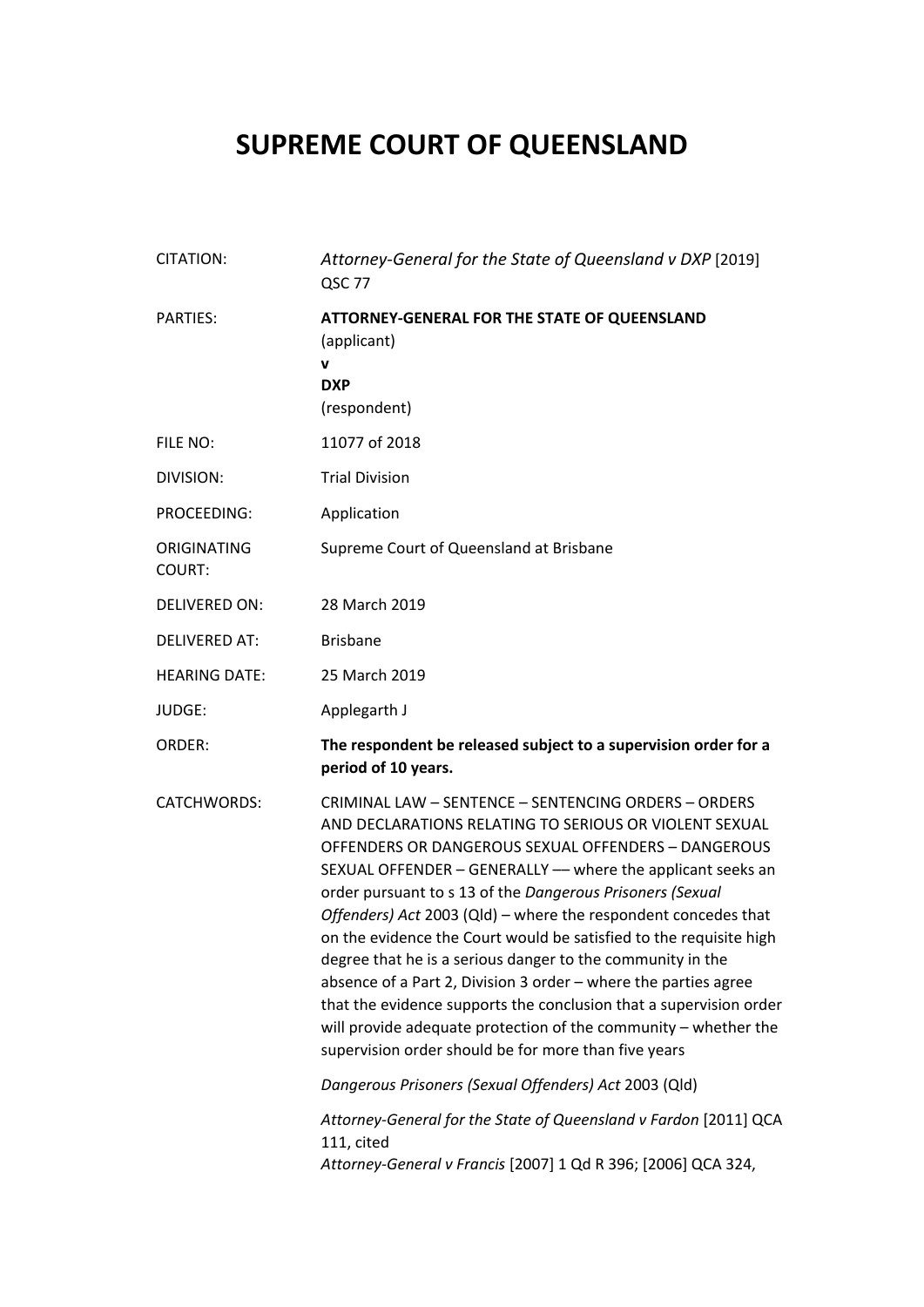# **SUPREME COURT OF QUEENSLAND**

| CITATION:                    | Attorney-General for the State of Queensland v DXP [2019]<br>QSC 77                                                                                                                                                                                                                                                                                                                                                                                                                                                                                                                                                                                                                                                                                                          |
|------------------------------|------------------------------------------------------------------------------------------------------------------------------------------------------------------------------------------------------------------------------------------------------------------------------------------------------------------------------------------------------------------------------------------------------------------------------------------------------------------------------------------------------------------------------------------------------------------------------------------------------------------------------------------------------------------------------------------------------------------------------------------------------------------------------|
| <b>PARTIES:</b>              | ATTORNEY-GENERAL FOR THE STATE OF QUEENSLAND<br>(applicant)<br>v<br><b>DXP</b><br>(respondent)                                                                                                                                                                                                                                                                                                                                                                                                                                                                                                                                                                                                                                                                               |
| FILE NO:                     | 11077 of 2018                                                                                                                                                                                                                                                                                                                                                                                                                                                                                                                                                                                                                                                                                                                                                                |
| DIVISION:                    | <b>Trial Division</b>                                                                                                                                                                                                                                                                                                                                                                                                                                                                                                                                                                                                                                                                                                                                                        |
| PROCEEDING:                  | Application                                                                                                                                                                                                                                                                                                                                                                                                                                                                                                                                                                                                                                                                                                                                                                  |
| ORIGINATING<br><b>COURT:</b> | Supreme Court of Queensland at Brisbane                                                                                                                                                                                                                                                                                                                                                                                                                                                                                                                                                                                                                                                                                                                                      |
| <b>DELIVERED ON:</b>         | 28 March 2019                                                                                                                                                                                                                                                                                                                                                                                                                                                                                                                                                                                                                                                                                                                                                                |
| <b>DELIVERED AT:</b>         | <b>Brisbane</b>                                                                                                                                                                                                                                                                                                                                                                                                                                                                                                                                                                                                                                                                                                                                                              |
| <b>HEARING DATE:</b>         | 25 March 2019                                                                                                                                                                                                                                                                                                                                                                                                                                                                                                                                                                                                                                                                                                                                                                |
| JUDGE:                       | Applegarth J                                                                                                                                                                                                                                                                                                                                                                                                                                                                                                                                                                                                                                                                                                                                                                 |
| ORDER:                       | The respondent be released subject to a supervision order for a<br>period of 10 years.                                                                                                                                                                                                                                                                                                                                                                                                                                                                                                                                                                                                                                                                                       |
| <b>CATCHWORDS:</b>           | CRIMINAL LAW - SENTENCE - SENTENCING ORDERS - ORDERS<br>AND DECLARATIONS RELATING TO SERIOUS OR VIOLENT SEXUAL<br>OFFENDERS OR DANGEROUS SEXUAL OFFENDERS - DANGEROUS<br>SEXUAL OFFENDER - GENERALLY - where the applicant seeks an<br>order pursuant to s 13 of the Dangerous Prisoners (Sexual<br>Offenders) Act 2003 (Qld) - where the respondent concedes that<br>on the evidence the Court would be satisfied to the requisite high<br>degree that he is a serious danger to the community in the<br>absence of a Part 2, Division 3 order - where the parties agree<br>that the evidence supports the conclusion that a supervision order<br>will provide adequate protection of the community $-$ whether the<br>supervision order should be for more than five years |
|                              | Dangerous Prisoners (Sexual Offenders) Act 2003 (Qld)                                                                                                                                                                                                                                                                                                                                                                                                                                                                                                                                                                                                                                                                                                                        |
|                              | Attorney-General for the State of Queensland v Fardon [2011] QCA<br>111, cited<br>Attorney-General v Francis [2007] 1 Qd R 396; [2006] QCA 324,                                                                                                                                                                                                                                                                                                                                                                                                                                                                                                                                                                                                                              |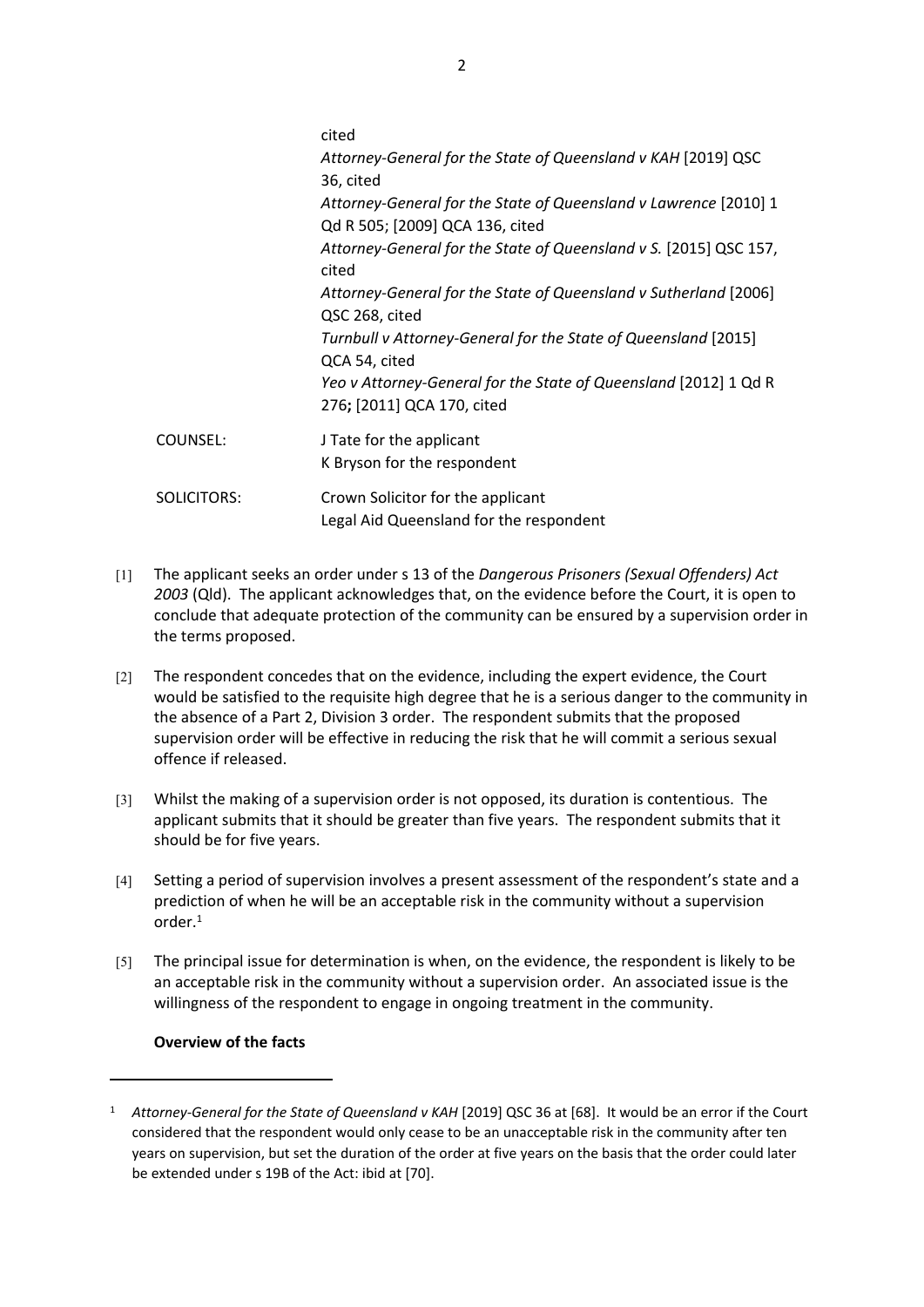|                    | cited                                                                                               |
|--------------------|-----------------------------------------------------------------------------------------------------|
|                    | Attorney-General for the State of Queensland v KAH [2019] QSC<br>36, cited                          |
|                    | Attorney-General for the State of Queensland v Lawrence [2010] 1<br>Qd R 505; [2009] QCA 136, cited |
|                    | Attorney-General for the State of Queensland v S. [2015] QSC 157,<br>cited                          |
|                    | Attorney-General for the State of Queensland v Sutherland [2006]<br>QSC 268, cited                  |
|                    | Turnbull v Attorney-General for the State of Queensland [2015]<br>QCA 54, cited                     |
|                    | Yeo v Attorney-General for the State of Queensland [2012] 1 Qd R<br>276; [2011] QCA 170, cited      |
| COUNSEL:           | J Tate for the applicant<br>K Bryson for the respondent                                             |
| <b>SOLICITORS:</b> | Crown Solicitor for the applicant<br>Legal Aid Queensland for the respondent                        |

- [1] The applicant seeks an order under s 13 of the *Dangerous Prisoners (Sexual Offenders) Act 2003* (Qld). The applicant acknowledges that, on the evidence before the Court, it is open to conclude that adequate protection of the community can be ensured by a supervision order in the terms proposed.
- [2] The respondent concedes that on the evidence, including the expert evidence, the Court would be satisfied to the requisite high degree that he is a serious danger to the community in the absence of a Part 2, Division 3 order. The respondent submits that the proposed supervision order will be effective in reducing the risk that he will commit a serious sexual offence if released.
- [3] Whilst the making of a supervision order is not opposed, its duration is contentious. The applicant submits that it should be greater than five years. The respondent submits that it should be for five years.
- [4] Setting a period of supervision involves a present assessment of the respondent's state and a prediction of when he will be an acceptable risk in the community without a supervision order.<sup>1</sup>
- [5] The principal issue for determination is when, on the evidence, the respondent is likely to be an acceptable risk in the community without a supervision order. An associated issue is the willingness of the respondent to engage in ongoing treatment in the community.

# **Overview of the facts**

<sup>1</sup> *Attorney-General for the State of Queensland v KAH* [2019] QSC 36 at [68]. It would be an error if the Court considered that the respondent would only cease to be an unacceptable risk in the community after ten years on supervision, but set the duration of the order at five years on the basis that the order could later be extended under s 19B of the Act: ibid at [70].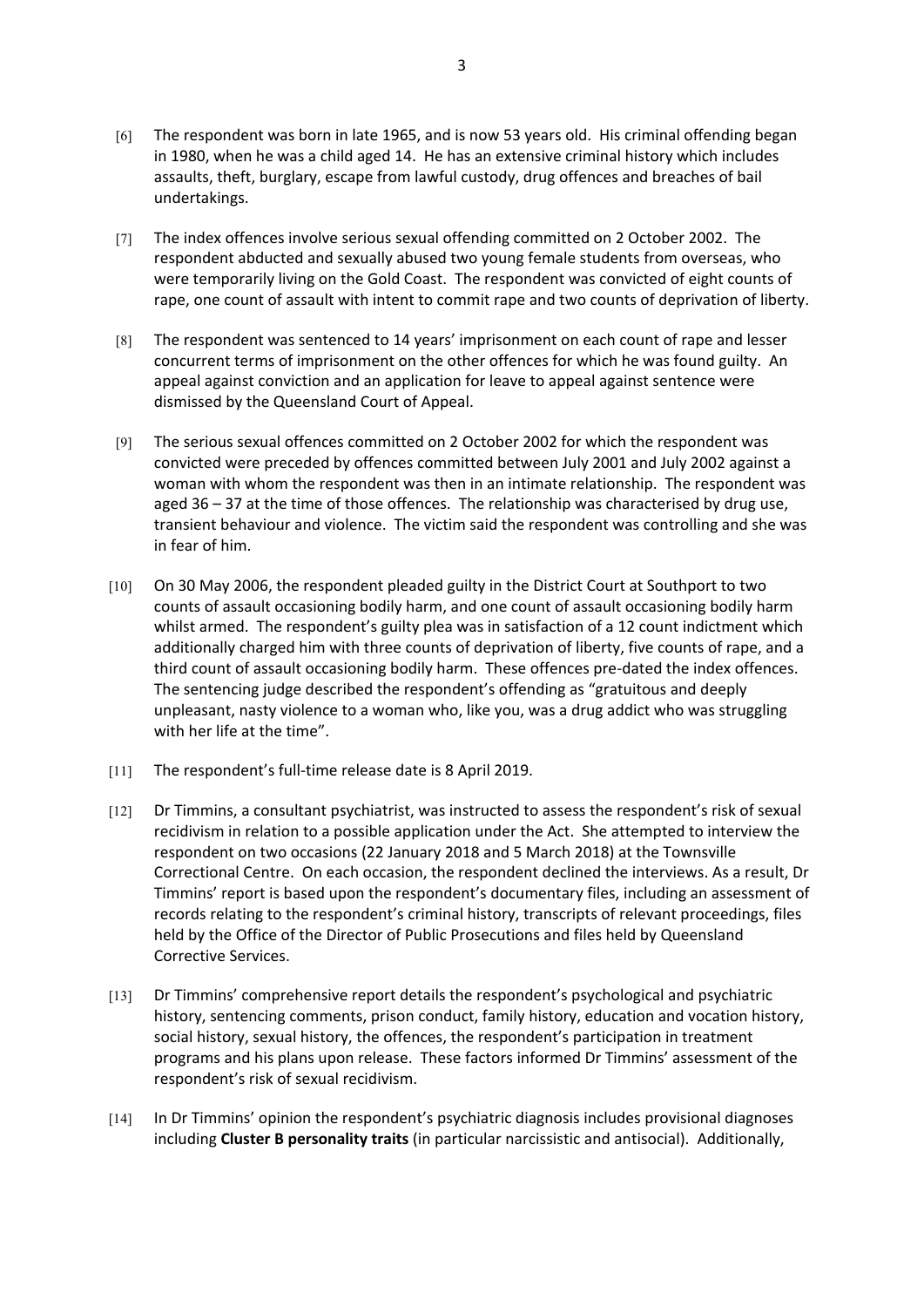- [6] The respondent was born in late 1965, and is now 53 years old. His criminal offending began in 1980, when he was a child aged 14. He has an extensive criminal history which includes assaults, theft, burglary, escape from lawful custody, drug offences and breaches of bail undertakings.
- [7] The index offences involve serious sexual offending committed on 2 October 2002. The respondent abducted and sexually abused two young female students from overseas, who were temporarily living on the Gold Coast. The respondent was convicted of eight counts of rape, one count of assault with intent to commit rape and two counts of deprivation of liberty.
- [8] The respondent was sentenced to 14 years' imprisonment on each count of rape and lesser concurrent terms of imprisonment on the other offences for which he was found guilty. An appeal against conviction and an application for leave to appeal against sentence were dismissed by the Queensland Court of Appeal.
- [9] The serious sexual offences committed on 2 October 2002 for which the respondent was convicted were preceded by offences committed between July 2001 and July 2002 against a woman with whom the respondent was then in an intimate relationship. The respondent was aged 36 – 37 at the time of those offences. The relationship was characterised by drug use, transient behaviour and violence. The victim said the respondent was controlling and she was in fear of him.
- [10] On 30 May 2006, the respondent pleaded guilty in the District Court at Southport to two counts of assault occasioning bodily harm, and one count of assault occasioning bodily harm whilst armed. The respondent's guilty plea was in satisfaction of a 12 count indictment which additionally charged him with three counts of deprivation of liberty, five counts of rape, and a third count of assault occasioning bodily harm. These offences pre-dated the index offences. The sentencing judge described the respondent's offending as "gratuitous and deeply unpleasant, nasty violence to a woman who, like you, was a drug addict who was struggling with her life at the time".
- [11] The respondent's full-time release date is 8 April 2019.
- [12] Dr Timmins, a consultant psychiatrist, was instructed to assess the respondent's risk of sexual recidivism in relation to a possible application under the Act. She attempted to interview the respondent on two occasions (22 January 2018 and 5 March 2018) at the Townsville Correctional Centre. On each occasion, the respondent declined the interviews. As a result, Dr Timmins' report is based upon the respondent's documentary files, including an assessment of records relating to the respondent's criminal history, transcripts of relevant proceedings, files held by the Office of the Director of Public Prosecutions and files held by Queensland Corrective Services.
- [13] Dr Timmins' comprehensive report details the respondent's psychological and psychiatric history, sentencing comments, prison conduct, family history, education and vocation history, social history, sexual history, the offences, the respondent's participation in treatment programs and his plans upon release. These factors informed Dr Timmins' assessment of the respondent's risk of sexual recidivism.
- [14] In Dr Timmins' opinion the respondent's psychiatric diagnosis includes provisional diagnoses including **Cluster B personality traits** (in particular narcissistic and antisocial). Additionally,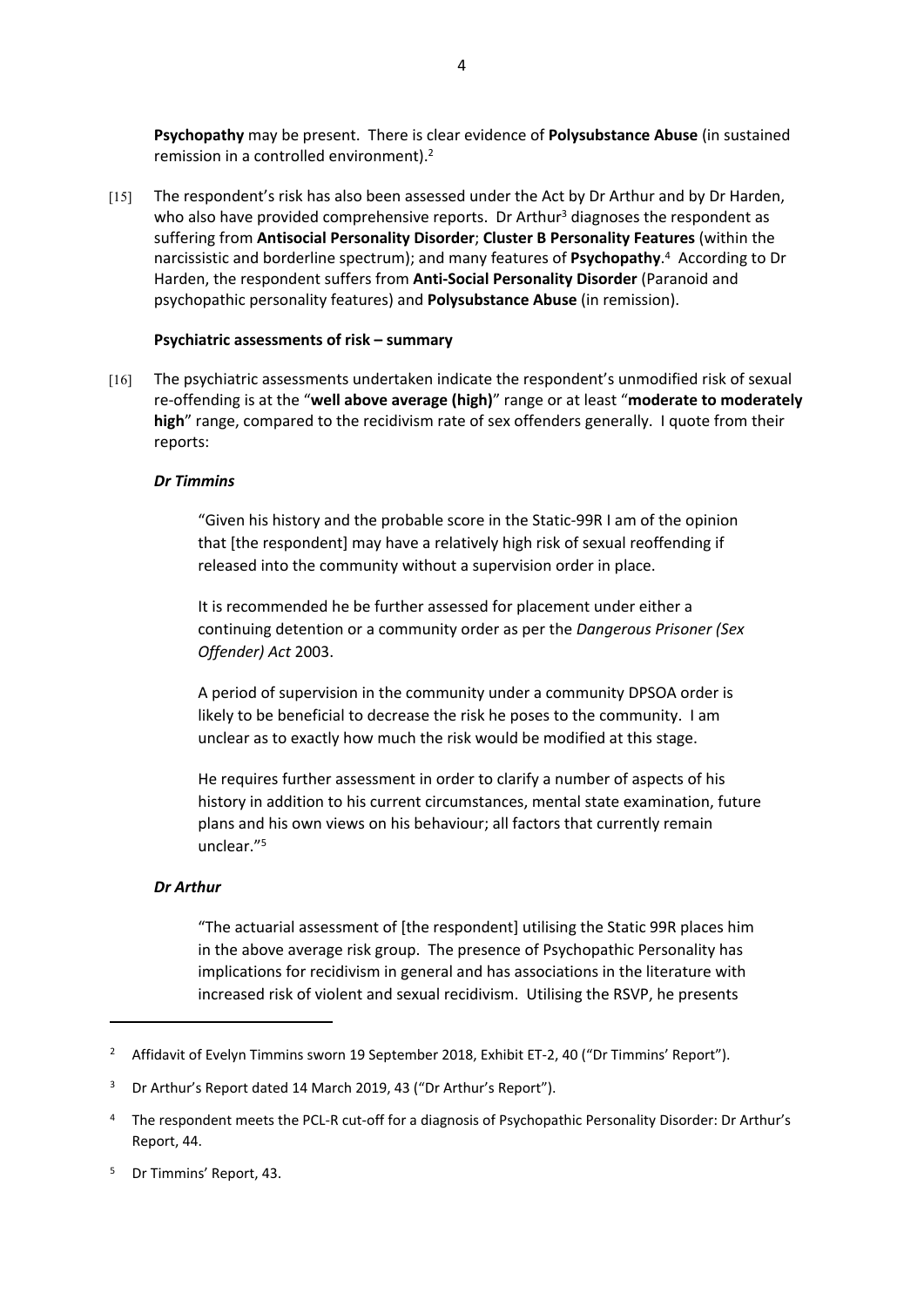**Psychopathy** may be present. There is clear evidence of **Polysubstance Abuse** (in sustained remission in a controlled environment).<sup>2</sup>

[15] The respondent's risk has also been assessed under the Act by Dr Arthur and by Dr Harden, who also have provided comprehensive reports. Dr Arthur<sup>3</sup> diagnoses the respondent as suffering from **Antisocial Personality Disorder**; **Cluster B Personality Features** (within the narcissistic and borderline spectrum); and many features of **Psychopathy**. 4 According to Dr Harden, the respondent suffers from **Anti-Social Personality Disorder** (Paranoid and psychopathic personality features) and **Polysubstance Abuse** (in remission).

#### **Psychiatric assessments of risk – summary**

[16] The psychiatric assessments undertaken indicate the respondent's unmodified risk of sexual re-offending is at the "**well above average (high)**" range or at least "**moderate to moderately high**" range, compared to the recidivism rate of sex offenders generally. I quote from their reports:

#### *Dr Timmins*

"Given his history and the probable score in the Static-99R I am of the opinion that [the respondent] may have a relatively high risk of sexual reoffending if released into the community without a supervision order in place.

It is recommended he be further assessed for placement under either a continuing detention or a community order as per the *Dangerous Prisoner (Sex Offender) Act* 2003.

A period of supervision in the community under a community DPSOA order is likely to be beneficial to decrease the risk he poses to the community. I am unclear as to exactly how much the risk would be modified at this stage.

He requires further assessment in order to clarify a number of aspects of his history in addition to his current circumstances, mental state examination, future plans and his own views on his behaviour; all factors that currently remain unclear."<sup>5</sup>

#### *Dr Arthur*

"The actuarial assessment of [the respondent] utilising the Static 99R places him in the above average risk group. The presence of Psychopathic Personality has implications for recidivism in general and has associations in the literature with increased risk of violent and sexual recidivism. Utilising the RSVP, he presents

<sup>&</sup>lt;sup>2</sup> Affidavit of Evelyn Timmins sworn 19 September 2018, Exhibit ET-2, 40 ("Dr Timmins' Report").

<sup>&</sup>lt;sup>3</sup> Dr Arthur's Report dated 14 March 2019, 43 ("Dr Arthur's Report").

<sup>4</sup> The respondent meets the PCL-R cut-off for a diagnosis of Psychopathic Personality Disorder: Dr Arthur's Report, 44.

<sup>5</sup> Dr Timmins' Report, 43.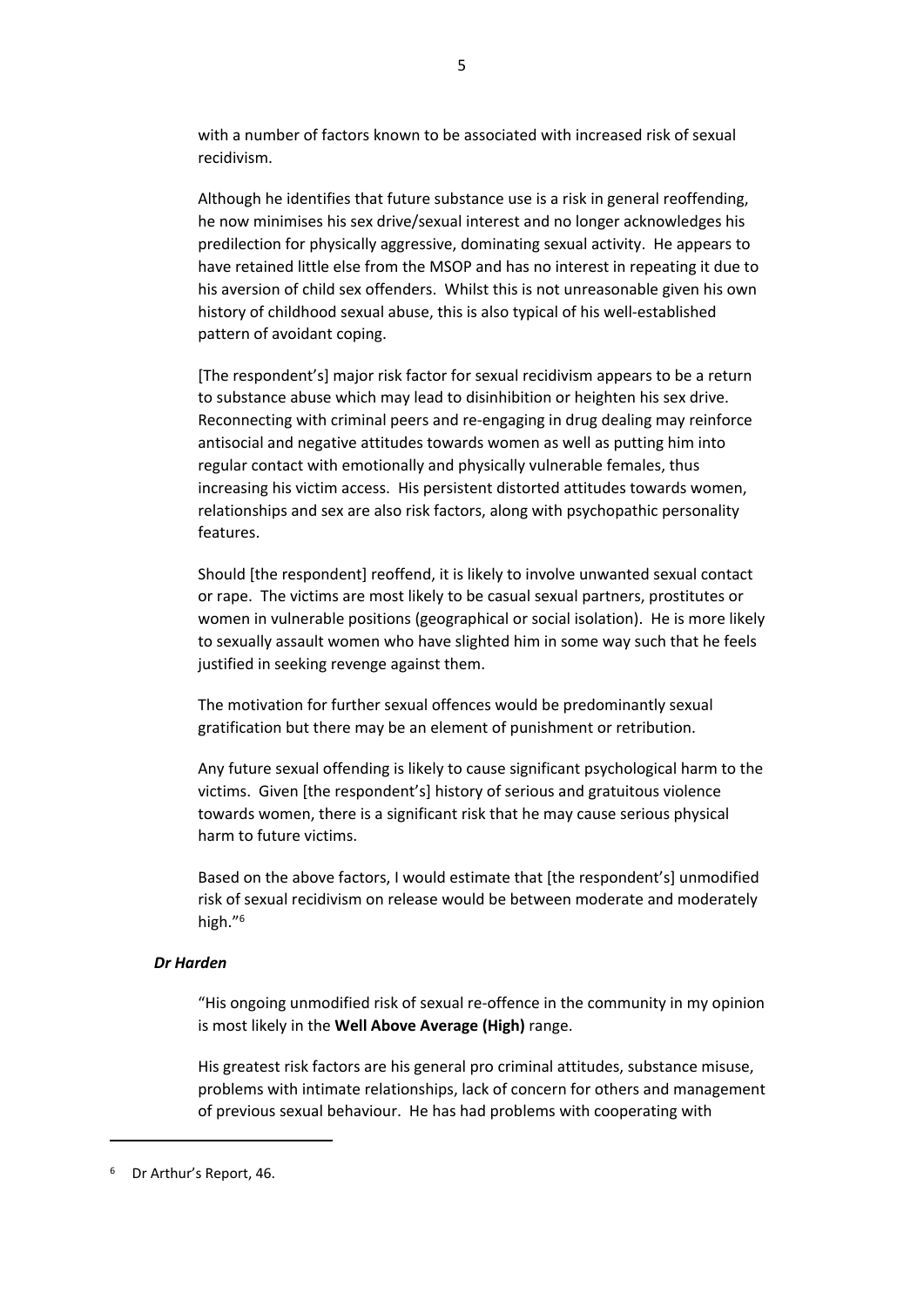with a number of factors known to be associated with increased risk of sexual recidivism.

Although he identifies that future substance use is a risk in general reoffending, he now minimises his sex drive/sexual interest and no longer acknowledges his predilection for physically aggressive, dominating sexual activity. He appears to have retained little else from the MSOP and has no interest in repeating it due to his aversion of child sex offenders. Whilst this is not unreasonable given his own history of childhood sexual abuse, this is also typical of his well-established pattern of avoidant coping.

[The respondent's] major risk factor for sexual recidivism appears to be a return to substance abuse which may lead to disinhibition or heighten his sex drive. Reconnecting with criminal peers and re-engaging in drug dealing may reinforce antisocial and negative attitudes towards women as well as putting him into regular contact with emotionally and physically vulnerable females, thus increasing his victim access. His persistent distorted attitudes towards women, relationships and sex are also risk factors, along with psychopathic personality features.

Should [the respondent] reoffend, it is likely to involve unwanted sexual contact or rape. The victims are most likely to be casual sexual partners, prostitutes or women in vulnerable positions (geographical or social isolation). He is more likely to sexually assault women who have slighted him in some way such that he feels justified in seeking revenge against them.

The motivation for further sexual offences would be predominantly sexual gratification but there may be an element of punishment or retribution.

Any future sexual offending is likely to cause significant psychological harm to the victims. Given [the respondent's] history of serious and gratuitous violence towards women, there is a significant risk that he may cause serious physical harm to future victims.

Based on the above factors, I would estimate that [the respondent's] unmodified risk of sexual recidivism on release would be between moderate and moderately high."<sup>6</sup>

# *Dr Harden*

"His ongoing unmodified risk of sexual re-offence in the community in my opinion is most likely in the **Well Above Average (High)** range.

His greatest risk factors are his general pro criminal attitudes, substance misuse, problems with intimate relationships, lack of concern for others and management of previous sexual behaviour. He has had problems with cooperating with

<sup>6</sup> Dr Arthur's Report, 46.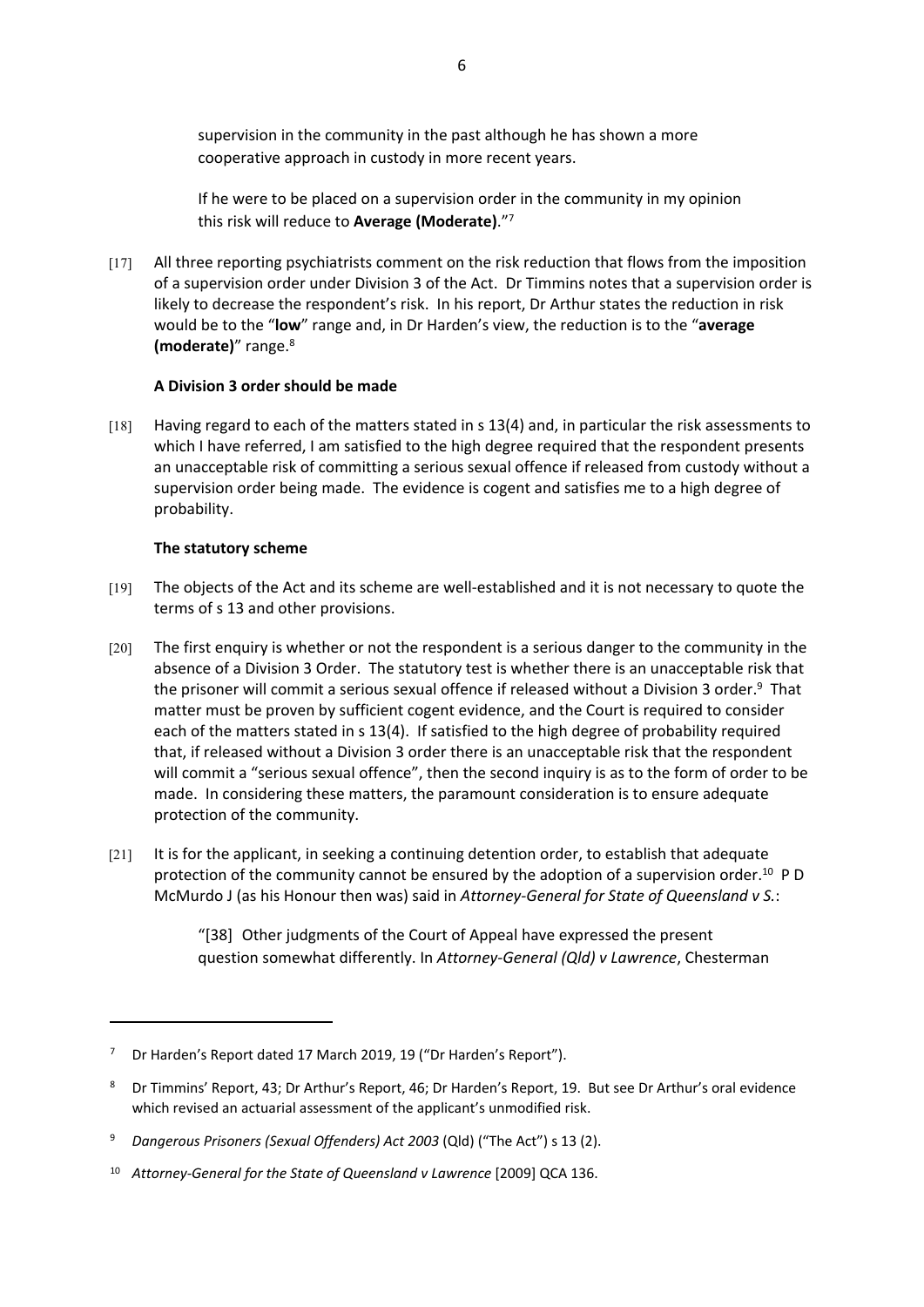supervision in the community in the past although he has shown a more cooperative approach in custody in more recent years.

If he were to be placed on a supervision order in the community in my opinion this risk will reduce to **Average (Moderate)**."<sup>7</sup>

[17] All three reporting psychiatrists comment on the risk reduction that flows from the imposition of a supervision order under Division 3 of the Act. Dr Timmins notes that a supervision order is likely to decrease the respondent's risk. In his report, Dr Arthur states the reduction in risk would be to the "**low**" range and, in Dr Harden's view, the reduction is to the "**average (moderate)**" range.<sup>8</sup>

### **A Division 3 order should be made**

[18] Having regard to each of the matters stated in s 13(4) and, in particular the risk assessments to which I have referred, I am satisfied to the high degree required that the respondent presents an unacceptable risk of committing a serious sexual offence if released from custody without a supervision order being made. The evidence is cogent and satisfies me to a high degree of probability.

### **The statutory scheme**

- [19] The objects of the Act and its scheme are well-established and it is not necessary to quote the terms of s 13 and other provisions.
- [20] The first enquiry is whether or not the respondent is a serious danger to the community in the absence of a Division 3 Order. The statutory test is whether there is an unacceptable risk that the prisoner will commit a serious sexual offence if released without a Division 3 order.<sup>9</sup> That matter must be proven by sufficient cogent evidence, and the Court is required to consider each of the matters stated in s 13(4). If satisfied to the high degree of probability required that, if released without a Division 3 order there is an unacceptable risk that the respondent will commit a "serious sexual offence", then the second inquiry is as to the form of order to be made. In considering these matters, the paramount consideration is to ensure adequate protection of the community.
- [21] It is for the applicant, in seeking a continuing detention order, to establish that adequate protection of the community cannot be ensured by the adoption of a supervision order.<sup>10</sup> P D McMurdo J (as his Honour then was) said in *Attorney-General for State of Queensland v S.*:

"[38] Other judgments of the Court of Appeal have expressed the present question somewhat differently. In *Attorney-General (Qld) v Lawrence*, Chesterman

<sup>&</sup>lt;sup>7</sup> Dr Harden's Report dated 17 March 2019, 19 ("Dr Harden's Report").

<sup>8</sup> Dr Timmins' Report, 43; Dr Arthur's Report, 46; Dr Harden's Report, 19. But see Dr Arthur's oral evidence which revised an actuarial assessment of the applicant's unmodified risk.

<sup>9</sup> *Dangerous Prisoners (Sexual Offenders) Act 2003* (Qld) ("The Act") s 13 (2).

<sup>10</sup> *Attorney-General for the State of Queensland v Lawrence* [2009] QCA 136.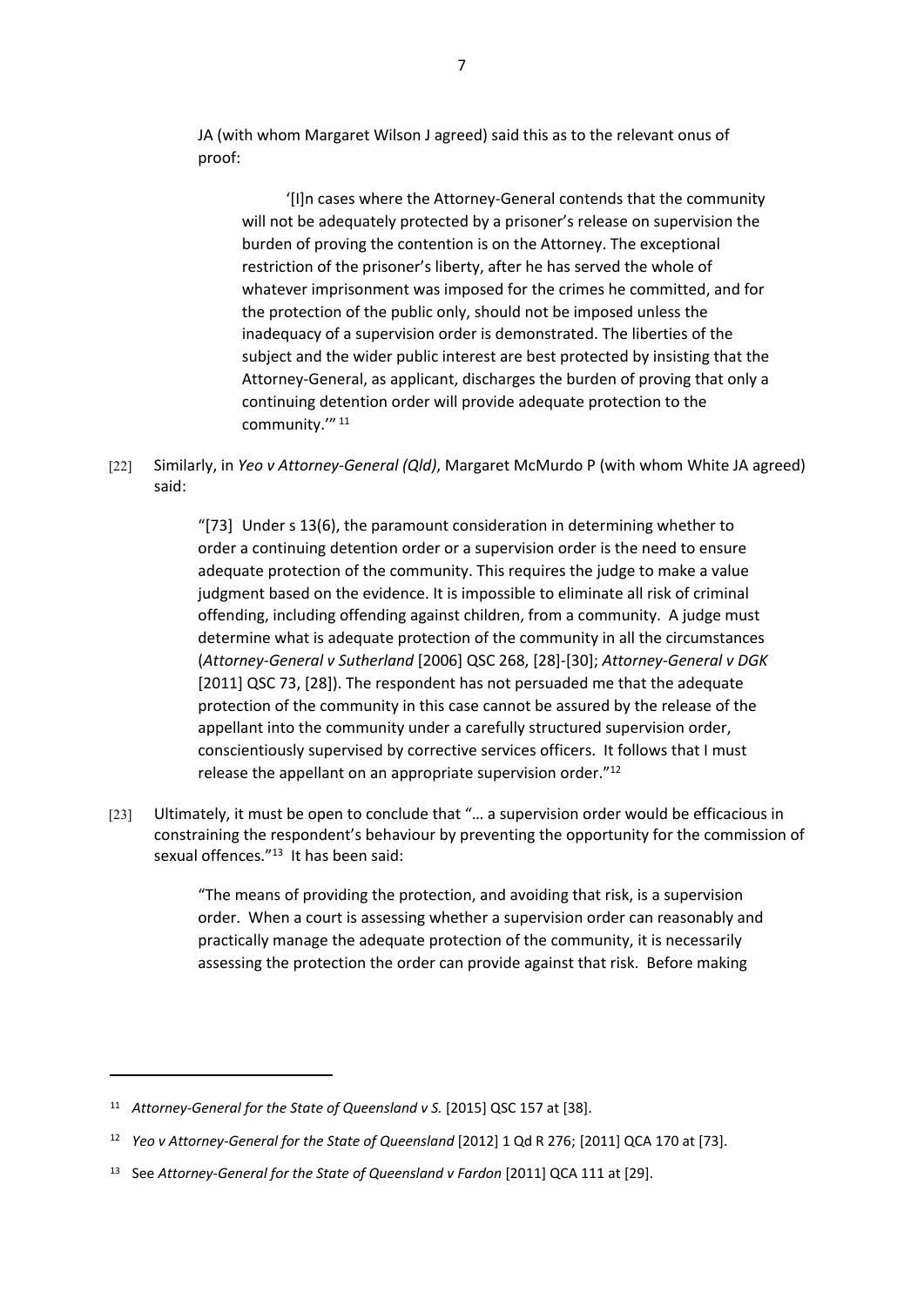JA (with whom Margaret Wilson J agreed) said this as to the relevant onus of proof:

'[I]n cases where the Attorney-General contends that the community will not be adequately protected by a prisoner's release on supervision the burden of proving the contention is on the Attorney. The exceptional restriction of the prisoner's liberty, after he has served the whole of whatever imprisonment was imposed for the crimes he committed, and for the protection of the public only, should not be imposed unless the inadequacy of a supervision order is demonstrated. The liberties of the subject and the wider public interest are best protected by insisting that the Attorney-General, as applicant, discharges the burden of proving that only a continuing detention order will provide adequate protection to the community."<sup>11</sup>

[22] Similarly, in *Yeo v Attorney-General (Qld)*, Margaret McMurdo P (with whom White JA agreed) said:

> "[73] Under s 13(6), the paramount consideration in determining whether to order a continuing detention order or a supervision order is the need to ensure adequate protection of the community. This requires the judge to make a value judgment based on the evidence. It is impossible to eliminate all risk of criminal offending, including offending against children, from a community. A judge must determine what is adequate protection of the community in all the circumstances (*Attorney-General v Sutherland* [2006] QSC 268, [28]-[30]; *Attorney-General v DGK* [2011] QSC 73, [28]). The respondent has not persuaded me that the adequate protection of the community in this case cannot be assured by the release of the appellant into the community under a carefully structured supervision order, conscientiously supervised by corrective services officers. It follows that I must release the appellant on an appropriate supervision order."<sup>12</sup>

[23] Ultimately, it must be open to conclude that "… a supervision order would be efficacious in constraining the respondent's behaviour by preventing the opportunity for the commission of sexual offences."<sup>13</sup> It has been said:

> "The means of providing the protection, and avoiding that risk, is a supervision order. When a court is assessing whether a supervision order can reasonably and practically manage the adequate protection of the community, it is necessarily assessing the protection the order can provide against that risk. Before making

<sup>&</sup>lt;sup>11</sup> Attorney-General for the State of Queensland v S. [2015] QSC 157 at [38].

<sup>&</sup>lt;sup>12</sup> *Yeo v Attorney-General for the State of Queensland* [2012] 1 Qd R 276; [2011] QCA 170 at [73].

<sup>&</sup>lt;sup>13</sup> See Attorney-General for the State of Queensland v Fardon [2011] QCA 111 at [29].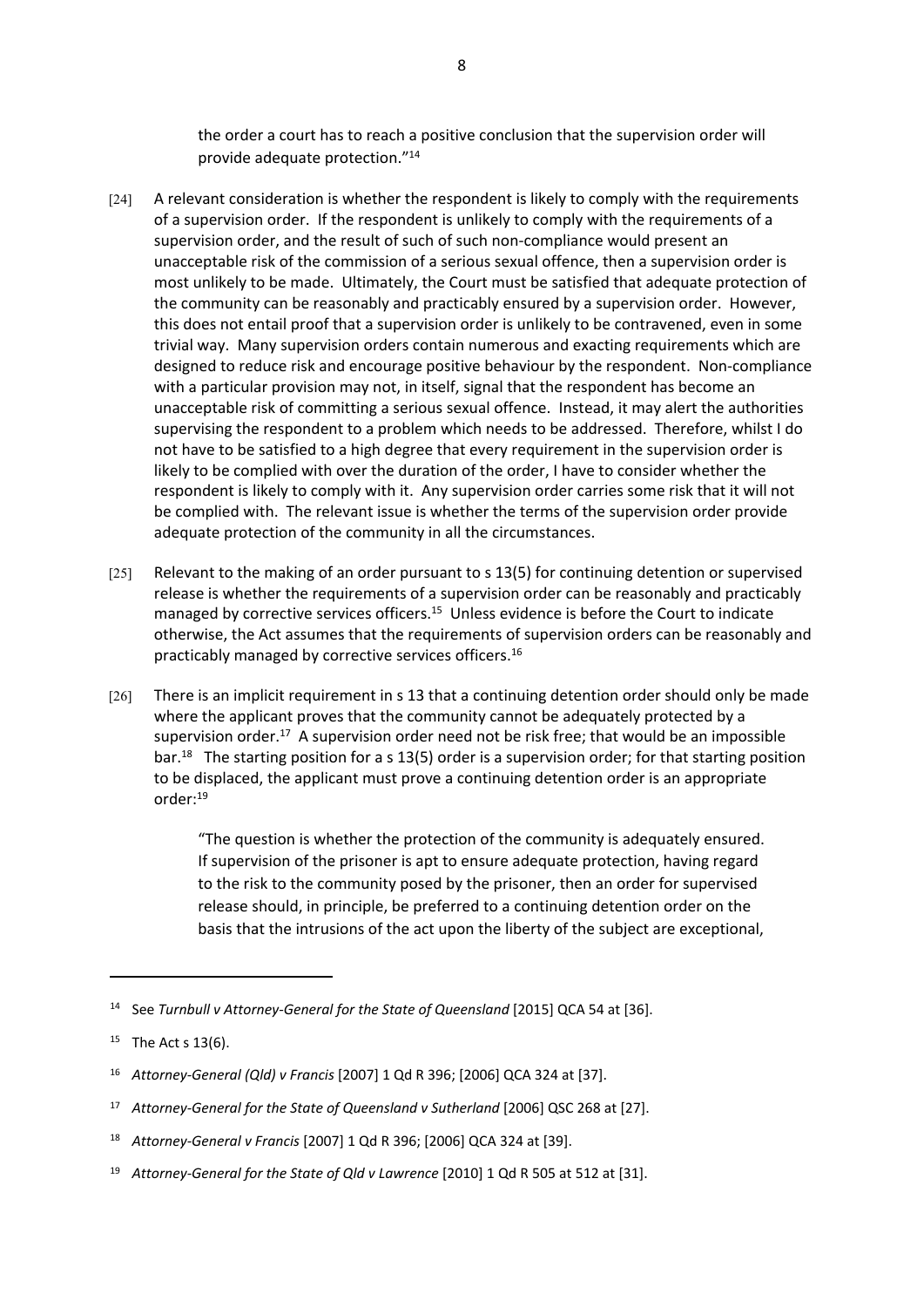the order a court has to reach a positive conclusion that the supervision order will provide adequate protection."<sup>14</sup>

- [24] A relevant consideration is whether the respondent is likely to comply with the requirements of a supervision order. If the respondent is unlikely to comply with the requirements of a supervision order, and the result of such of such non-compliance would present an unacceptable risk of the commission of a serious sexual offence, then a supervision order is most unlikely to be made. Ultimately, the Court must be satisfied that adequate protection of the community can be reasonably and practicably ensured by a supervision order. However, this does not entail proof that a supervision order is unlikely to be contravened, even in some trivial way. Many supervision orders contain numerous and exacting requirements which are designed to reduce risk and encourage positive behaviour by the respondent. Non-compliance with a particular provision may not, in itself, signal that the respondent has become an unacceptable risk of committing a serious sexual offence. Instead, it may alert the authorities supervising the respondent to a problem which needs to be addressed. Therefore, whilst I do not have to be satisfied to a high degree that every requirement in the supervision order is likely to be complied with over the duration of the order, I have to consider whether the respondent is likely to comply with it. Any supervision order carries some risk that it will not be complied with. The relevant issue is whether the terms of the supervision order provide adequate protection of the community in all the circumstances.
- [25] Relevant to the making of an order pursuant to s 13(5) for continuing detention or supervised release is whether the requirements of a supervision order can be reasonably and practicably managed by corrective services officers.<sup>15</sup> Unless evidence is before the Court to indicate otherwise, the Act assumes that the requirements of supervision orders can be reasonably and practicably managed by corrective services officers.<sup>16</sup>
- [26] There is an implicit requirement in s 13 that a continuing detention order should only be made where the applicant proves that the community cannot be adequately protected by a supervision order.<sup>17</sup> A supervision order need not be risk free; that would be an impossible bar.<sup>18</sup> The starting position for a s 13(5) order is a supervision order; for that starting position to be displaced, the applicant must prove a continuing detention order is an appropriate order:<sup>19</sup>

"The question is whether the protection of the community is adequately ensured. If supervision of the prisoner is apt to ensure adequate protection, having regard to the risk to the community posed by the prisoner, then an order for supervised release should, in principle, be preferred to a continuing detention order on the basis that the intrusions of the act upon the liberty of the subject are exceptional,

<sup>&</sup>lt;sup>14</sup> See Turnbull v Attorney-General for the State of Queensland [2015] QCA 54 at [36].

<sup>&</sup>lt;sup>15</sup> The Act s  $13(6)$ .

<sup>16</sup> *Attorney-General (Qld) v Francis* [2007] 1 Qd R 396; [2006] QCA 324 at [37].

<sup>17</sup> *Attorney-General for the State of Queensland v Sutherland* [2006] QSC 268 at [27].

<sup>18</sup> *Attorney-General v Francis* [2007] 1 Qd R 396; [2006] QCA 324 at [39].

<sup>19</sup> *Attorney-General for the State of Qld v Lawrence* [2010] 1 Qd R 505 at 512 at [31].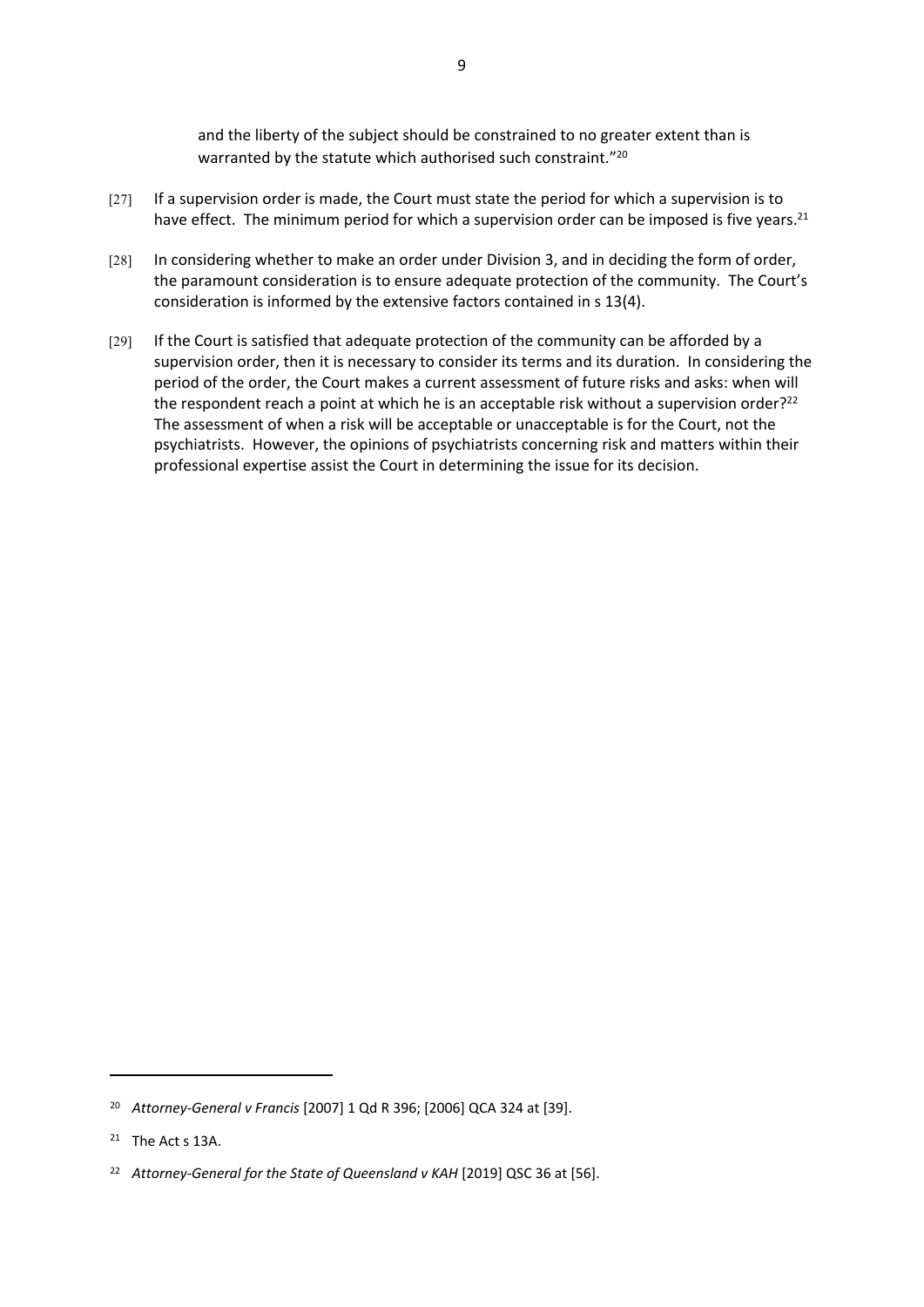and the liberty of the subject should be constrained to no greater extent than is warranted by the statute which authorised such constraint."<sup>20</sup>

- [27] If a supervision order is made, the Court must state the period for which a supervision is to have effect. The minimum period for which a supervision order can be imposed is five years.<sup>21</sup>
- [28] In considering whether to make an order under Division 3, and in deciding the form of order, the paramount consideration is to ensure adequate protection of the community. The Court's consideration is informed by the extensive factors contained in s 13(4).
- [29] If the Court is satisfied that adequate protection of the community can be afforded by a supervision order, then it is necessary to consider its terms and its duration. In considering the period of the order, the Court makes a current assessment of future risks and asks: when will the respondent reach a point at which he is an acceptable risk without a supervision order?<sup>22</sup> The assessment of when a risk will be acceptable or unacceptable is for the Court, not the psychiatrists. However, the opinions of psychiatrists concerning risk and matters within their professional expertise assist the Court in determining the issue for its decision.

<sup>20</sup> *Attorney-General v Francis* [2007] 1 Qd R 396; [2006] QCA 324 at [39].

<sup>&</sup>lt;sup>21</sup> The Act s 13A.

<sup>&</sup>lt;sup>22</sup> Attorney-General for the State of Queensland v KAH [2019] QSC 36 at [56].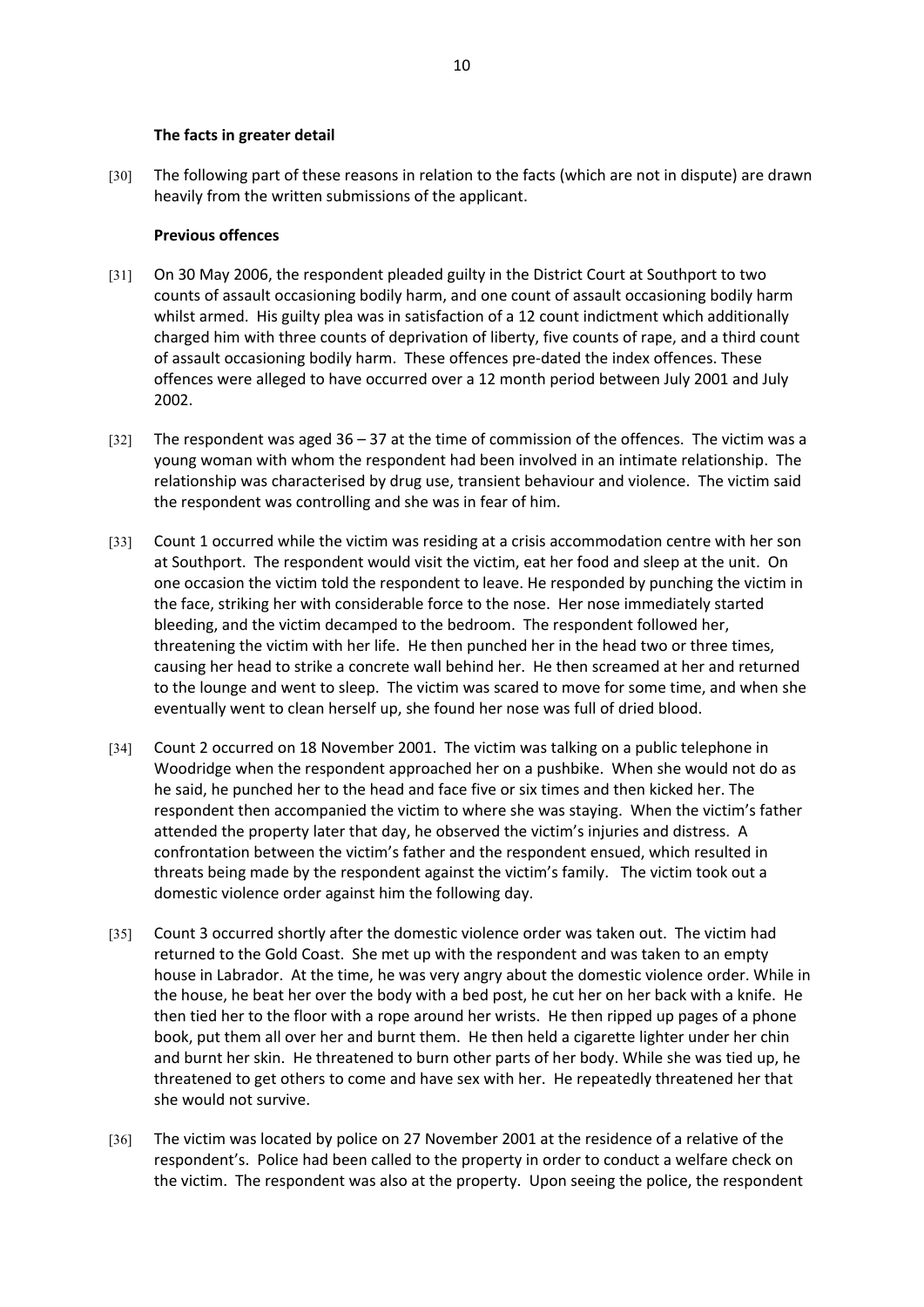#### **The facts in greater detail**

[30] The following part of these reasons in relation to the facts (which are not in dispute) are drawn heavily from the written submissions of the applicant.

#### **Previous offences**

- [31] On 30 May 2006, the respondent pleaded guilty in the District Court at Southport to two counts of assault occasioning bodily harm, and one count of assault occasioning bodily harm whilst armed. His guilty plea was in satisfaction of a 12 count indictment which additionally charged him with three counts of deprivation of liberty, five counts of rape, and a third count of assault occasioning bodily harm. These offences pre-dated the index offences. These offences were alleged to have occurred over a 12 month period between July 2001 and July 2002.
- $[32]$  The respondent was aged 36 37 at the time of commission of the offences. The victim was a young woman with whom the respondent had been involved in an intimate relationship. The relationship was characterised by drug use, transient behaviour and violence. The victim said the respondent was controlling and she was in fear of him.
- [33] Count 1 occurred while the victim was residing at a crisis accommodation centre with her son at Southport. The respondent would visit the victim, eat her food and sleep at the unit. On one occasion the victim told the respondent to leave. He responded by punching the victim in the face, striking her with considerable force to the nose. Her nose immediately started bleeding, and the victim decamped to the bedroom. The respondent followed her, threatening the victim with her life. He then punched her in the head two or three times, causing her head to strike a concrete wall behind her. He then screamed at her and returned to the lounge and went to sleep. The victim was scared to move for some time, and when she eventually went to clean herself up, she found her nose was full of dried blood.
- [34] Count 2 occurred on 18 November 2001. The victim was talking on a public telephone in Woodridge when the respondent approached her on a pushbike. When she would not do as he said, he punched her to the head and face five or six times and then kicked her. The respondent then accompanied the victim to where she was staying. When the victim's father attended the property later that day, he observed the victim's injuries and distress. A confrontation between the victim's father and the respondent ensued, which resulted in threats being made by the respondent against the victim's family. The victim took out a domestic violence order against him the following day.
- [35] Count 3 occurred shortly after the domestic violence order was taken out. The victim had returned to the Gold Coast. She met up with the respondent and was taken to an empty house in Labrador. At the time, he was very angry about the domestic violence order. While in the house, he beat her over the body with a bed post, he cut her on her back with a knife. He then tied her to the floor with a rope around her wrists. He then ripped up pages of a phone book, put them all over her and burnt them. He then held a cigarette lighter under her chin and burnt her skin. He threatened to burn other parts of her body. While she was tied up, he threatened to get others to come and have sex with her. He repeatedly threatened her that she would not survive.
- [36] The victim was located by police on 27 November 2001 at the residence of a relative of the respondent's. Police had been called to the property in order to conduct a welfare check on the victim. The respondent was also at the property. Upon seeing the police, the respondent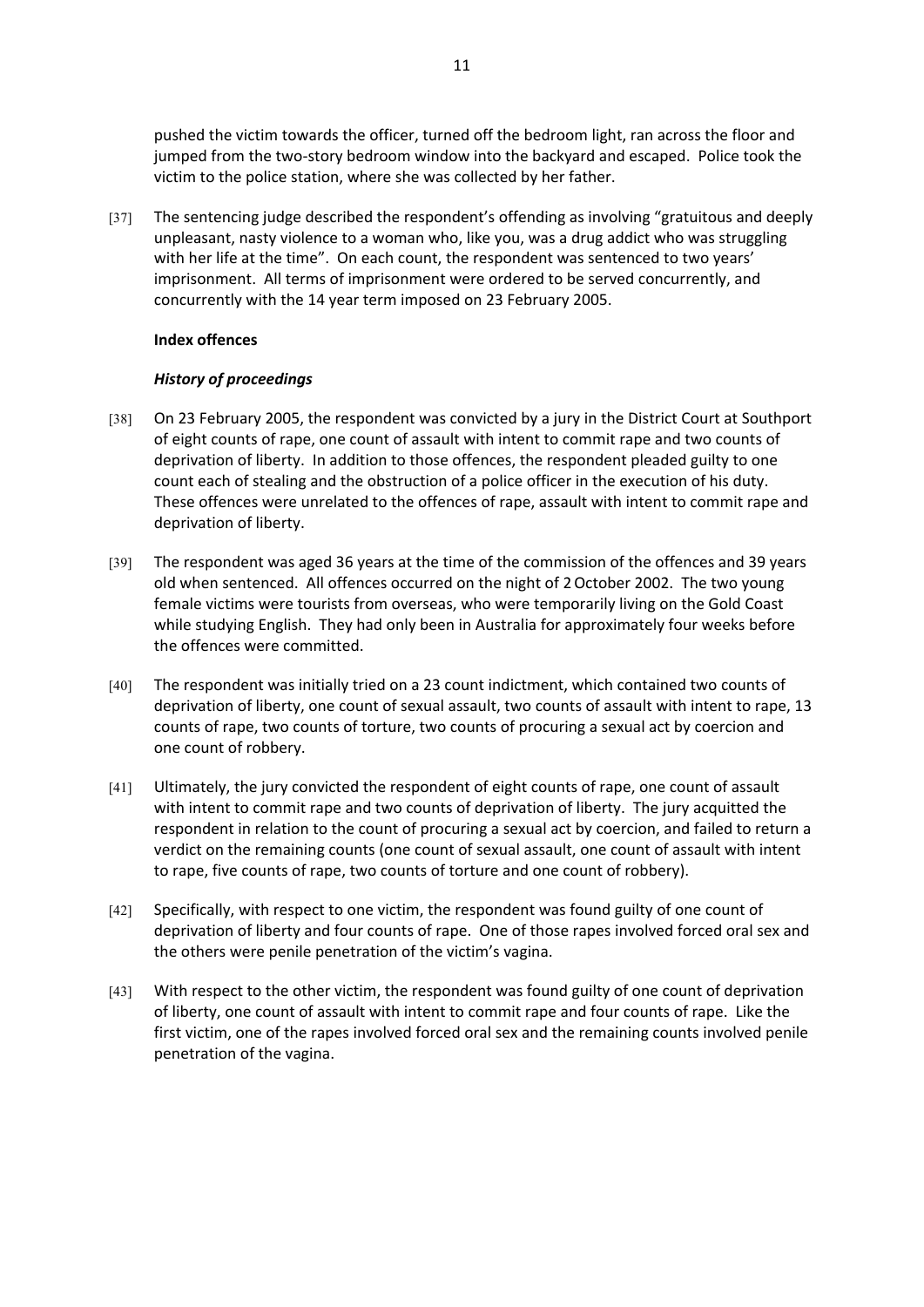pushed the victim towards the officer, turned off the bedroom light, ran across the floor and jumped from the two-story bedroom window into the backyard and escaped. Police took the victim to the police station, where she was collected by her father.

[37] The sentencing judge described the respondent's offending as involving "gratuitous and deeply unpleasant, nasty violence to a woman who, like you, was a drug addict who was struggling with her life at the time". On each count, the respondent was sentenced to two years' imprisonment. All terms of imprisonment were ordered to be served concurrently, and concurrently with the 14 year term imposed on 23 February 2005.

### **Index offences**

# *History of proceedings*

- [38] On 23 February 2005, the respondent was convicted by a jury in the District Court at Southport of eight counts of rape, one count of assault with intent to commit rape and two counts of deprivation of liberty. In addition to those offences, the respondent pleaded guilty to one count each of stealing and the obstruction of a police officer in the execution of his duty. These offences were unrelated to the offences of rape, assault with intent to commit rape and deprivation of liberty.
- [39] The respondent was aged 36 years at the time of the commission of the offences and 39 years old when sentenced. All offences occurred on the night of 2October 2002. The two young female victims were tourists from overseas, who were temporarily living on the Gold Coast while studying English. They had only been in Australia for approximately four weeks before the offences were committed.
- [40] The respondent was initially tried on a 23 count indictment, which contained two counts of deprivation of liberty, one count of sexual assault, two counts of assault with intent to rape, 13 counts of rape, two counts of torture, two counts of procuring a sexual act by coercion and one count of robbery.
- [41] Ultimately, the jury convicted the respondent of eight counts of rape, one count of assault with intent to commit rape and two counts of deprivation of liberty. The jury acquitted the respondent in relation to the count of procuring a sexual act by coercion, and failed to return a verdict on the remaining counts (one count of sexual assault, one count of assault with intent to rape, five counts of rape, two counts of torture and one count of robbery).
- [42] Specifically, with respect to one victim, the respondent was found guilty of one count of deprivation of liberty and four counts of rape. One of those rapes involved forced oral sex and the others were penile penetration of the victim's vagina.
- [43] With respect to the other victim, the respondent was found guilty of one count of deprivation of liberty, one count of assault with intent to commit rape and four counts of rape. Like the first victim, one of the rapes involved forced oral sex and the remaining counts involved penile penetration of the vagina.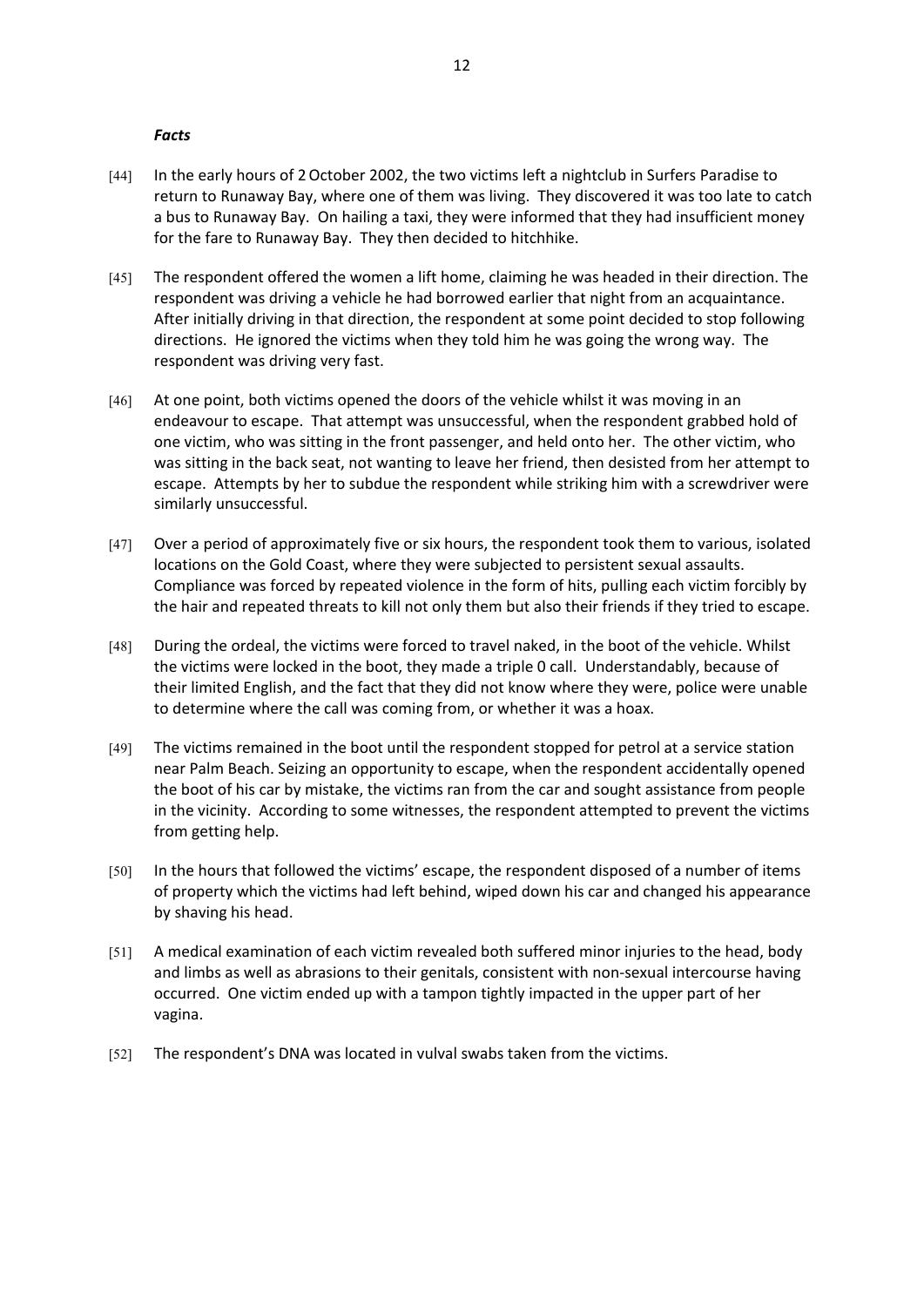#### *Facts*

- [44] In the early hours of 2 October 2002, the two victims left a nightclub in Surfers Paradise to return to Runaway Bay, where one of them was living. They discovered it was too late to catch a bus to Runaway Bay. On hailing a taxi, they were informed that they had insufficient money for the fare to Runaway Bay. They then decided to hitchhike.
- [45] The respondent offered the women a lift home, claiming he was headed in their direction. The respondent was driving a vehicle he had borrowed earlier that night from an acquaintance. After initially driving in that direction, the respondent at some point decided to stop following directions. He ignored the victims when they told him he was going the wrong way. The respondent was driving very fast.
- [46] At one point, both victims opened the doors of the vehicle whilst it was moving in an endeavour to escape. That attempt was unsuccessful, when the respondent grabbed hold of one victim, who was sitting in the front passenger, and held onto her. The other victim, who was sitting in the back seat, not wanting to leave her friend, then desisted from her attempt to escape. Attempts by her to subdue the respondent while striking him with a screwdriver were similarly unsuccessful.
- [47] Over a period of approximately five or six hours, the respondent took them to various, isolated locations on the Gold Coast, where they were subjected to persistent sexual assaults. Compliance was forced by repeated violence in the form of hits, pulling each victim forcibly by the hair and repeated threats to kill not only them but also their friends if they tried to escape.
- [48] During the ordeal, the victims were forced to travel naked, in the boot of the vehicle. Whilst the victims were locked in the boot, they made a triple 0 call. Understandably, because of their limited English, and the fact that they did not know where they were, police were unable to determine where the call was coming from, or whether it was a hoax.
- [49] The victims remained in the boot until the respondent stopped for petrol at a service station near Palm Beach. Seizing an opportunity to escape, when the respondent accidentally opened the boot of his car by mistake, the victims ran from the car and sought assistance from people in the vicinity. According to some witnesses, the respondent attempted to prevent the victims from getting help.
- [50] In the hours that followed the victims' escape, the respondent disposed of a number of items of property which the victims had left behind, wiped down his car and changed his appearance by shaving his head.
- [51] A medical examination of each victim revealed both suffered minor injuries to the head, body and limbs as well as abrasions to their genitals, consistent with non-sexual intercourse having occurred. One victim ended up with a tampon tightly impacted in the upper part of her vagina.
- [52] The respondent's DNA was located in vulval swabs taken from the victims.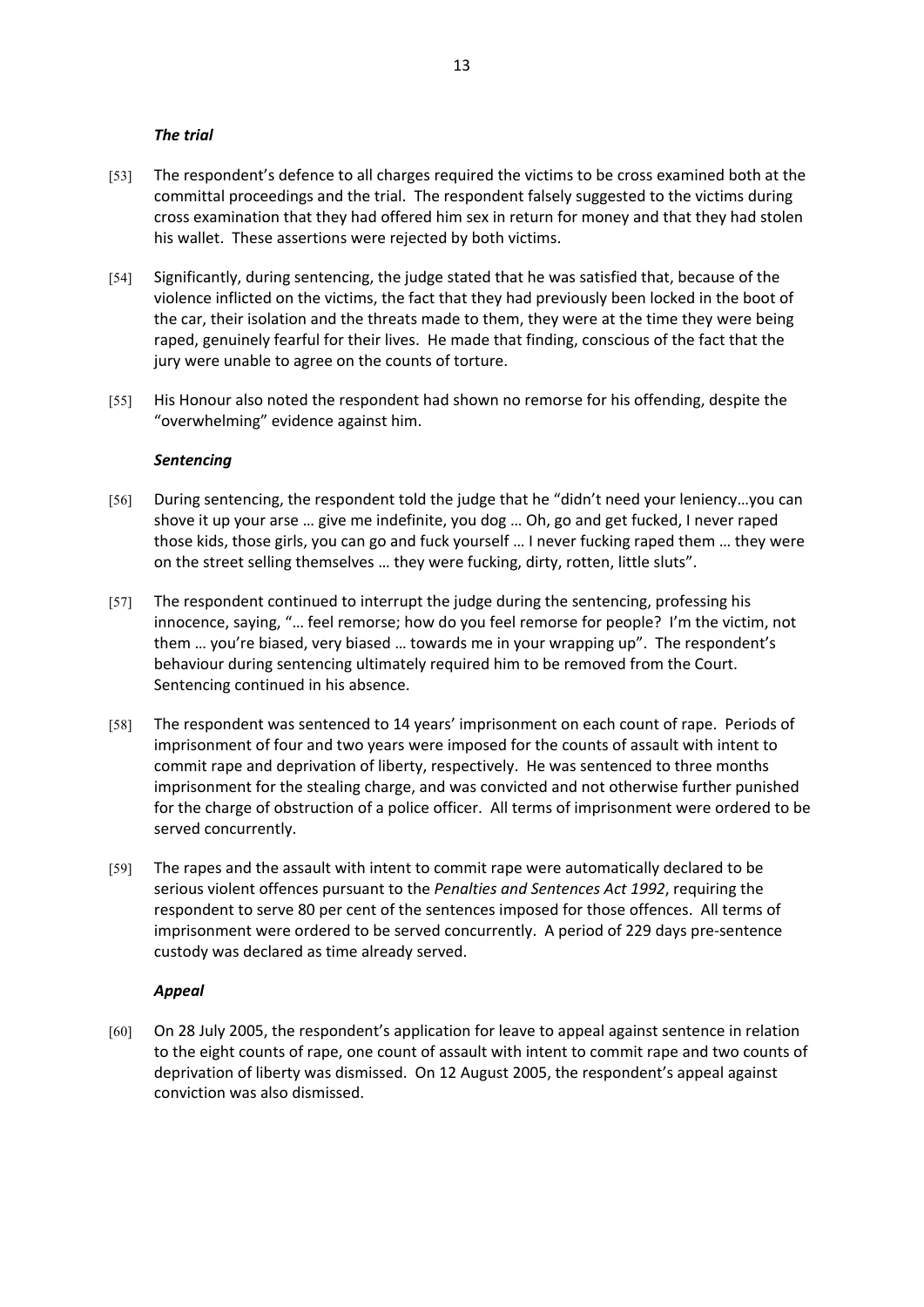#### *The trial*

- [53] The respondent's defence to all charges required the victims to be cross examined both at the committal proceedings and the trial. The respondent falsely suggested to the victims during cross examination that they had offered him sex in return for money and that they had stolen his wallet. These assertions were rejected by both victims.
- [54] Significantly, during sentencing, the judge stated that he was satisfied that, because of the violence inflicted on the victims, the fact that they had previously been locked in the boot of the car, their isolation and the threats made to them, they were at the time they were being raped, genuinely fearful for their lives. He made that finding, conscious of the fact that the jury were unable to agree on the counts of torture.
- [55] His Honour also noted the respondent had shown no remorse for his offending, despite the "overwhelming" evidence against him.

#### *Sentencing*

- [56] During sentencing, the respondent told the judge that he "didn't need your leniency...you can shove it up your arse … give me indefinite, you dog … Oh, go and get fucked, I never raped those kids, those girls, you can go and fuck yourself … I never fucking raped them … they were on the street selling themselves … they were fucking, dirty, rotten, little sluts".
- [57] The respondent continued to interrupt the judge during the sentencing, professing his innocence, saying, "… feel remorse; how do you feel remorse for people? I'm the victim, not them … you're biased, very biased … towards me in your wrapping up". The respondent's behaviour during sentencing ultimately required him to be removed from the Court. Sentencing continued in his absence.
- [58] The respondent was sentenced to 14 years' imprisonment on each count of rape. Periods of imprisonment of four and two years were imposed for the counts of assault with intent to commit rape and deprivation of liberty, respectively. He was sentenced to three months imprisonment for the stealing charge, and was convicted and not otherwise further punished for the charge of obstruction of a police officer. All terms of imprisonment were ordered to be served concurrently.
- [59] The rapes and the assault with intent to commit rape were automatically declared to be serious violent offences pursuant to the *Penalties and Sentences Act 1992*, requiring the respondent to serve 80 per cent of the sentences imposed for those offences. All terms of imprisonment were ordered to be served concurrently. A period of 229 days pre-sentence custody was declared as time already served.

#### *Appeal*

[60] On 28 July 2005, the respondent's application for leave to appeal against sentence in relation to the eight counts of rape, one count of assault with intent to commit rape and two counts of deprivation of liberty was dismissed. On 12 August 2005, the respondent's appeal against conviction was also dismissed.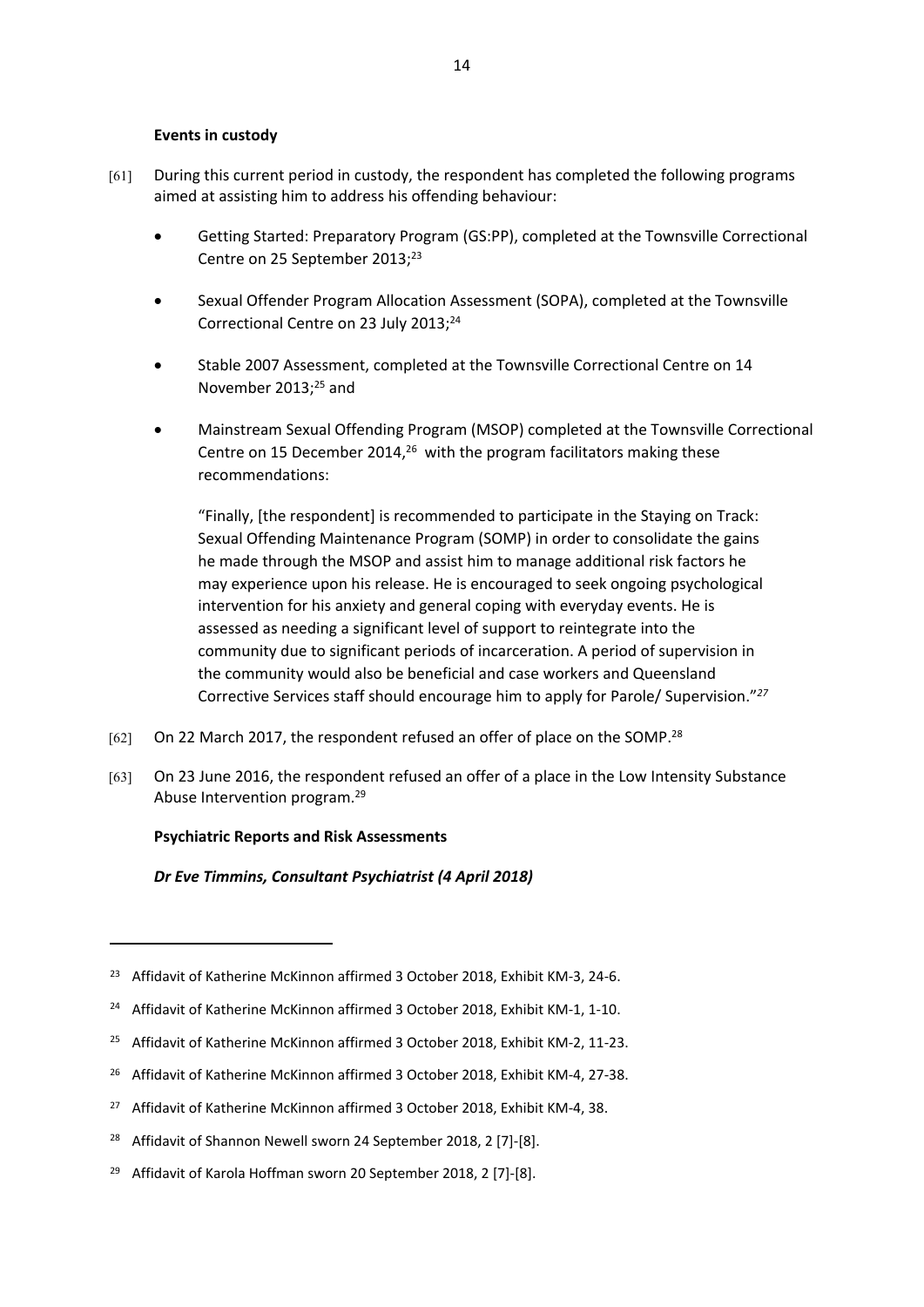### **Events in custody**

- [61] During this current period in custody, the respondent has completed the following programs aimed at assisting him to address his offending behaviour:
	- Getting Started: Preparatory Program (GS:PP), completed at the Townsville Correctional Centre on 25 September 2013;<sup>23</sup>
	- Sexual Offender Program Allocation Assessment (SOPA), completed at the Townsville Correctional Centre on 23 July 2013;<sup>24</sup>
	- Stable 2007 Assessment, completed at the Townsville Correctional Centre on 14 November 2013;<sup>25</sup> and
	- Mainstream Sexual Offending Program (MSOP) completed at the Townsville Correctional Centre on 15 December 2014,<sup>26</sup> with the program facilitators making these recommendations:

"Finally, [the respondent] is recommended to participate in the Staying on Track: Sexual Offending Maintenance Program (SOMP) in order to consolidate the gains he made through the MSOP and assist him to manage additional risk factors he may experience upon his release. He is encouraged to seek ongoing psychological intervention for his anxiety and general coping with everyday events. He is assessed as needing a significant level of support to reintegrate into the community due to significant periods of incarceration. A period of supervision in the community would also be beneficial and case workers and Queensland Corrective Services staff should encourage him to apply for Parole/ Supervision."*<sup>27</sup>*

- [62] On 22 March 2017, the respondent refused an offer of place on the SOMP.<sup>28</sup>
- [63] On 23 June 2016, the respondent refused an offer of a place in the Low Intensity Substance Abuse Intervention program.<sup>29</sup>

# **Psychiatric Reports and Risk Assessments**

*Dr Eve Timmins, Consultant Psychiatrist (4 April 2018)*

<sup>&</sup>lt;sup>23</sup> Affidavit of Katherine McKinnon affirmed 3 October 2018, Exhibit KM-3, 24-6.

<sup>&</sup>lt;sup>24</sup> Affidavit of Katherine McKinnon affirmed 3 October 2018, Exhibit KM-1, 1-10.

<sup>&</sup>lt;sup>25</sup> Affidavit of Katherine McKinnon affirmed 3 October 2018, Exhibit KM-2, 11-23.

<sup>&</sup>lt;sup>26</sup> Affidavit of Katherine McKinnon affirmed 3 October 2018, Exhibit KM-4, 27-38.

<sup>&</sup>lt;sup>27</sup> Affidavit of Katherine McKinnon affirmed 3 October 2018, Exhibit KM-4, 38.

<sup>&</sup>lt;sup>28</sup> Affidavit of Shannon Newell sworn 24 September 2018, 2 [7]-[8].

<sup>&</sup>lt;sup>29</sup> Affidavit of Karola Hoffman sworn 20 September 2018, 2 [7]-[8].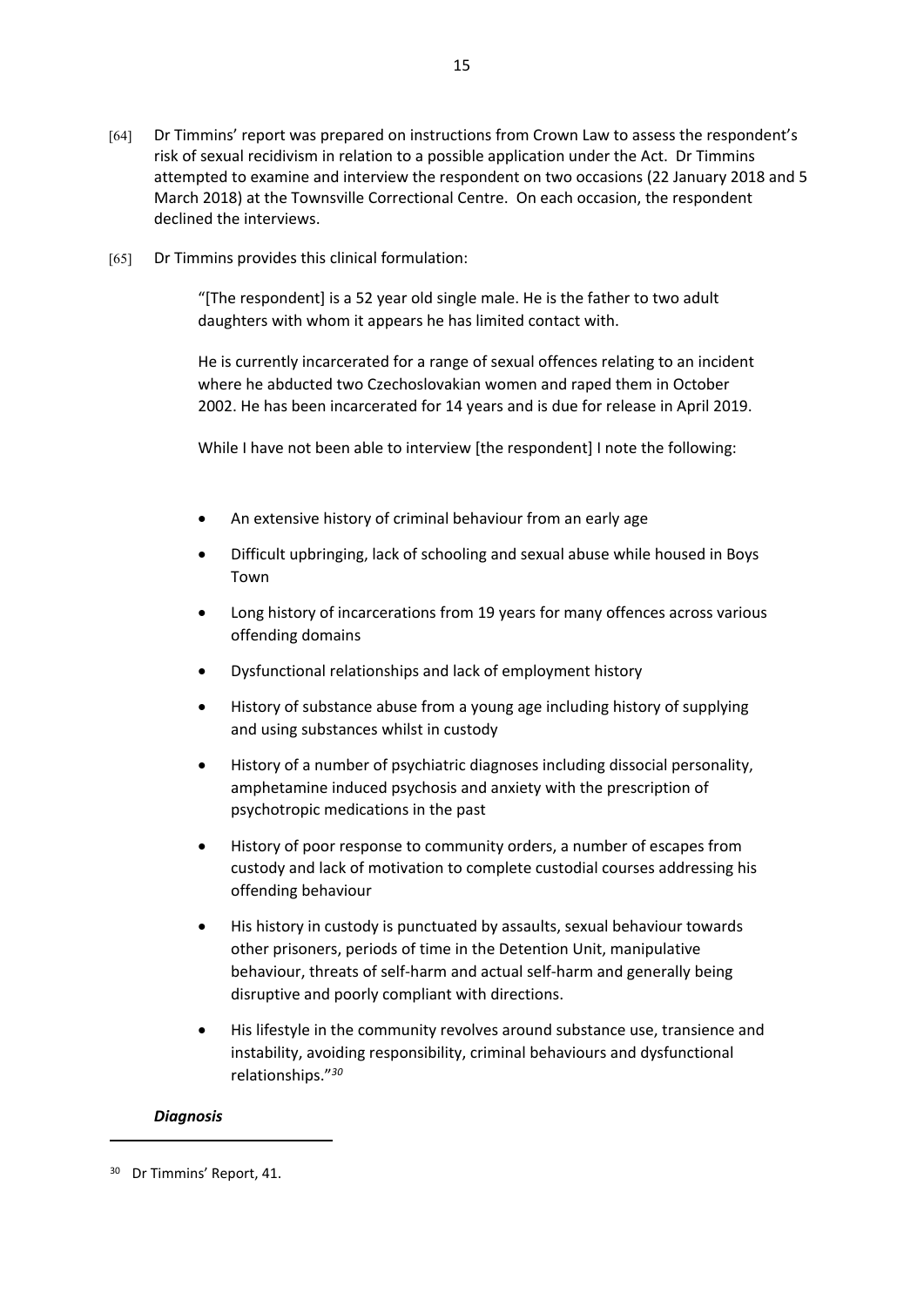- [64] Dr Timmins' report was prepared on instructions from Crown Law to assess the respondent's risk of sexual recidivism in relation to a possible application under the Act. Dr Timmins attempted to examine and interview the respondent on two occasions (22 January 2018 and 5 March 2018) at the Townsville Correctional Centre. On each occasion, the respondent declined the interviews.
- [65] Dr Timmins provides this clinical formulation:

"[The respondent] is a 52 year old single male. He is the father to two adult daughters with whom it appears he has limited contact with.

He is currently incarcerated for a range of sexual offences relating to an incident where he abducted two Czechoslovakian women and raped them in October 2002. He has been incarcerated for 14 years and is due for release in April 2019.

While I have not been able to interview [the respondent] I note the following:

- An extensive history of criminal behaviour from an early age
- Difficult upbringing, lack of schooling and sexual abuse while housed in Boys Town
- Long history of incarcerations from 19 years for many offences across various offending domains
- Dysfunctional relationships and lack of employment history
- History of substance abuse from a young age including history of supplying and using substances whilst in custody
- History of a number of psychiatric diagnoses including dissocial personality, amphetamine induced psychosis and anxiety with the prescription of psychotropic medications in the past
- History of poor response to community orders, a number of escapes from custody and lack of motivation to complete custodial courses addressing his offending behaviour
- His history in custody is punctuated by assaults, sexual behaviour towards other prisoners, periods of time in the Detention Unit, manipulative behaviour, threats of self-harm and actual self-harm and generally being disruptive and poorly compliant with directions.
- His lifestyle in the community revolves around substance use, transience and instability, avoiding responsibility, criminal behaviours and dysfunctional relationships."*<sup>30</sup>*

# *Diagnosis*

<sup>30</sup> Dr Timmins' Report, 41.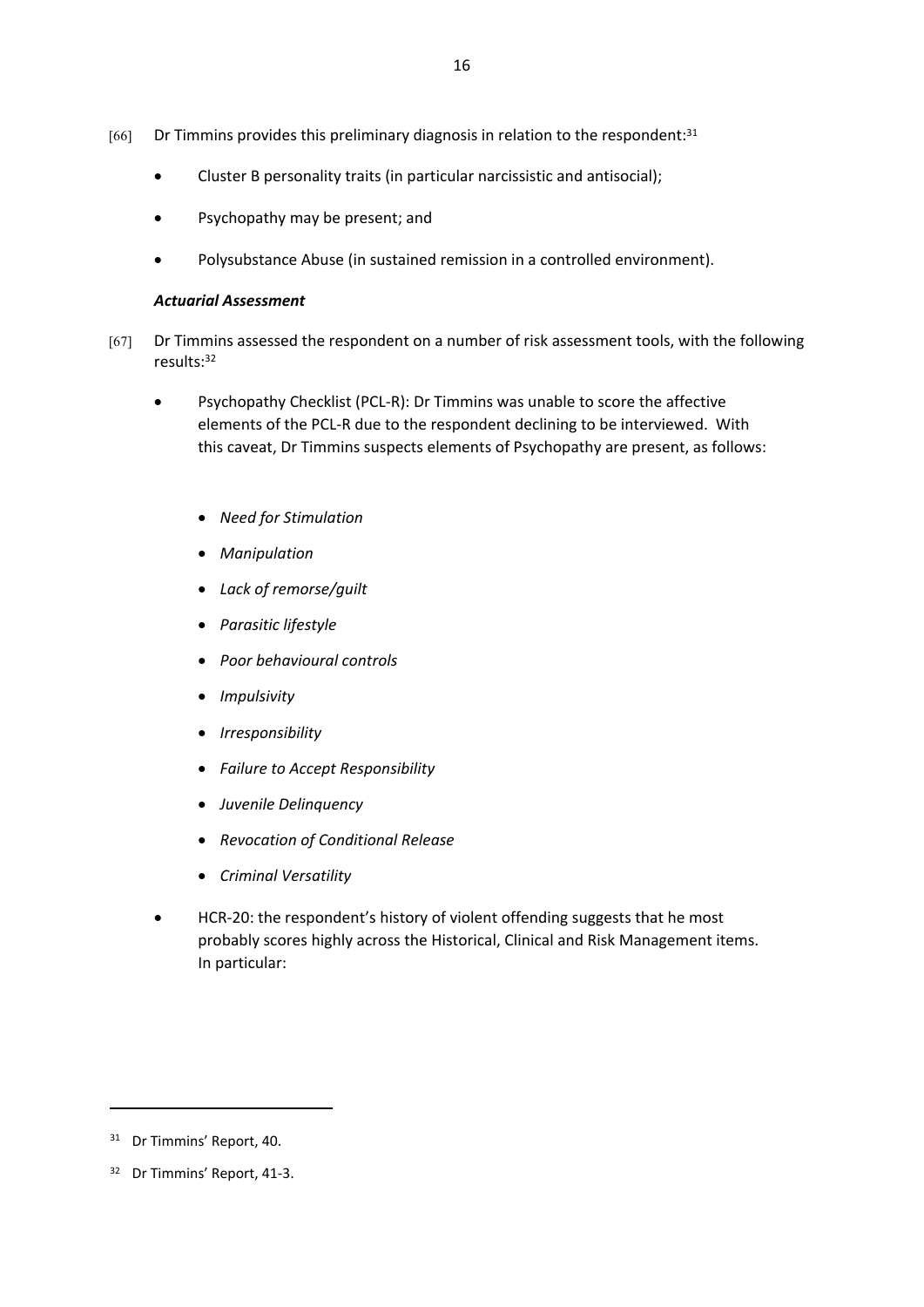- $[66]$  Dr Timmins provides this preliminary diagnosis in relation to the respondent:<sup>31</sup>
	- Cluster B personality traits (in particular narcissistic and antisocial);
	- Psychopathy may be present; and
	- Polysubstance Abuse (in sustained remission in a controlled environment).

### *Actuarial Assessment*

[67] Dr Timmins assessed the respondent on a number of risk assessment tools, with the following results:<sup>32</sup>

16

- Psychopathy Checklist (PCL-R): Dr Timmins was unable to score the affective elements of the PCL-R due to the respondent declining to be interviewed. With this caveat, Dr Timmins suspects elements of Psychopathy are present, as follows:
	- *Need for Stimulation*
	- *Manipulation*
	- *Lack of remorse/guilt*
	- *Parasitic lifestyle*
	- *Poor behavioural controls*
	- *Impulsivity*
	- *Irresponsibility*
	- *Failure to Accept Responsibility*
	- *Juvenile Delinquency*
	- *Revocation of Conditional Release*
	- *Criminal Versatility*
- HCR-20: the respondent's history of violent offending suggests that he most probably scores highly across the Historical, Clinical and Risk Management items. In particular:

<sup>31</sup> Dr Timmins' Report, 40.

<sup>32</sup> Dr Timmins' Report, 41-3.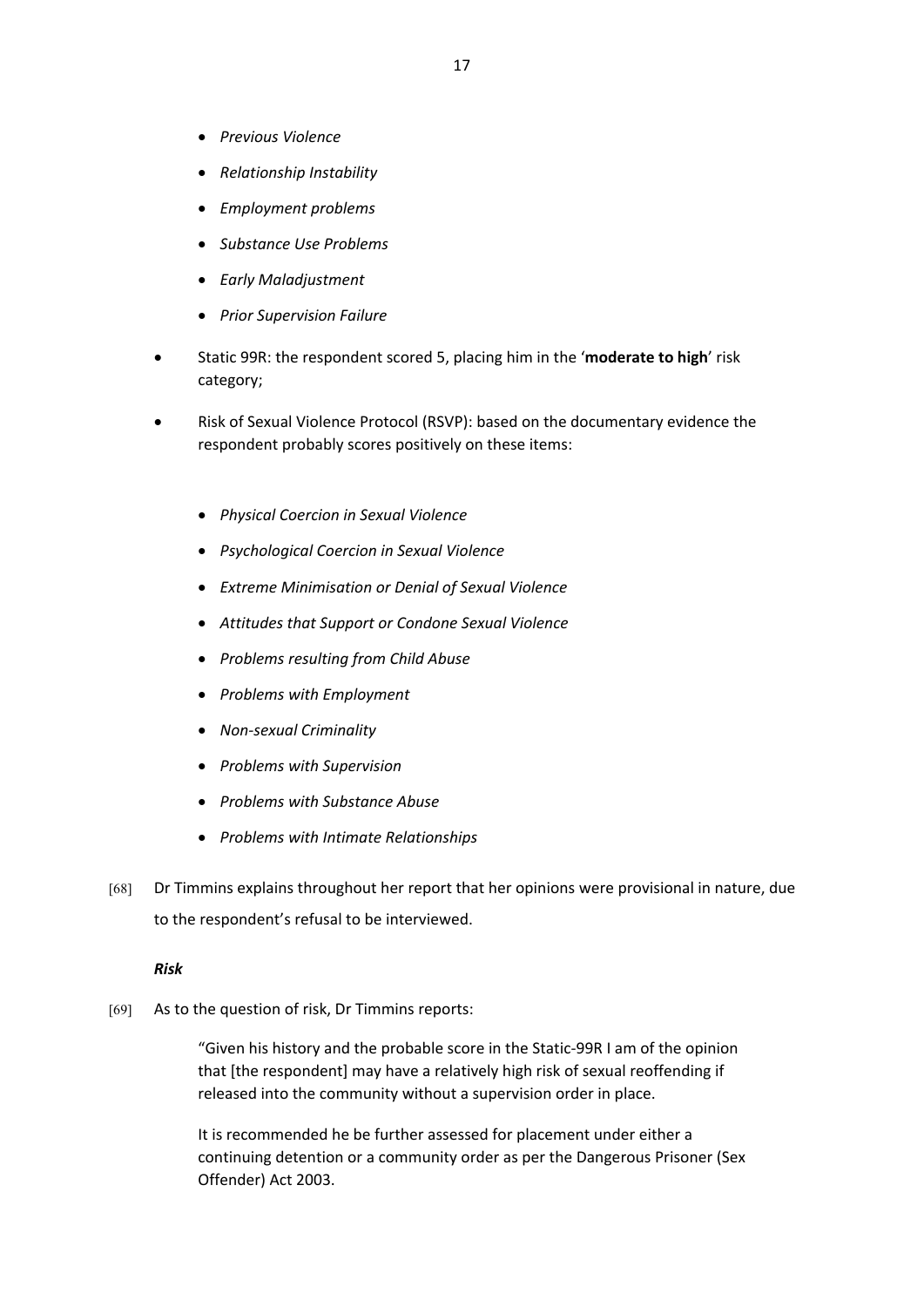- *Previous Violence*
- *Relationship Instability*
- *Employment problems*
- *Substance Use Problems*
- *Early Maladjustment*
- *Prior Supervision Failure*
- Static 99R: the respondent scored 5, placing him in the '**moderate to high**' risk category;
- Risk of Sexual Violence Protocol (RSVP): based on the documentary evidence the respondent probably scores positively on these items:
	- *Physical Coercion in Sexual Violence*
	- *Psychological Coercion in Sexual Violence*
	- *Extreme Minimisation or Denial of Sexual Violence*
	- *Attitudes that Support or Condone Sexual Violence*
	- *Problems resulting from Child Abuse*
	- *Problems with Employment*
	- *Non-sexual Criminality*
	- *Problems with Supervision*
	- *Problems with Substance Abuse*
	- *Problems with Intimate Relationships*
- [68] Dr Timmins explains throughout her report that her opinions were provisional in nature, due to the respondent's refusal to be interviewed.

#### *Risk*

[69] As to the question of risk, Dr Timmins reports:

"Given his history and the probable score in the Static-99R I am of the opinion that [the respondent] may have a relatively high risk of sexual reoffending if released into the community without a supervision order in place.

It is recommended he be further assessed for placement under either a continuing detention or a community order as per the Dangerous Prisoner (Sex Offender) Act 2003.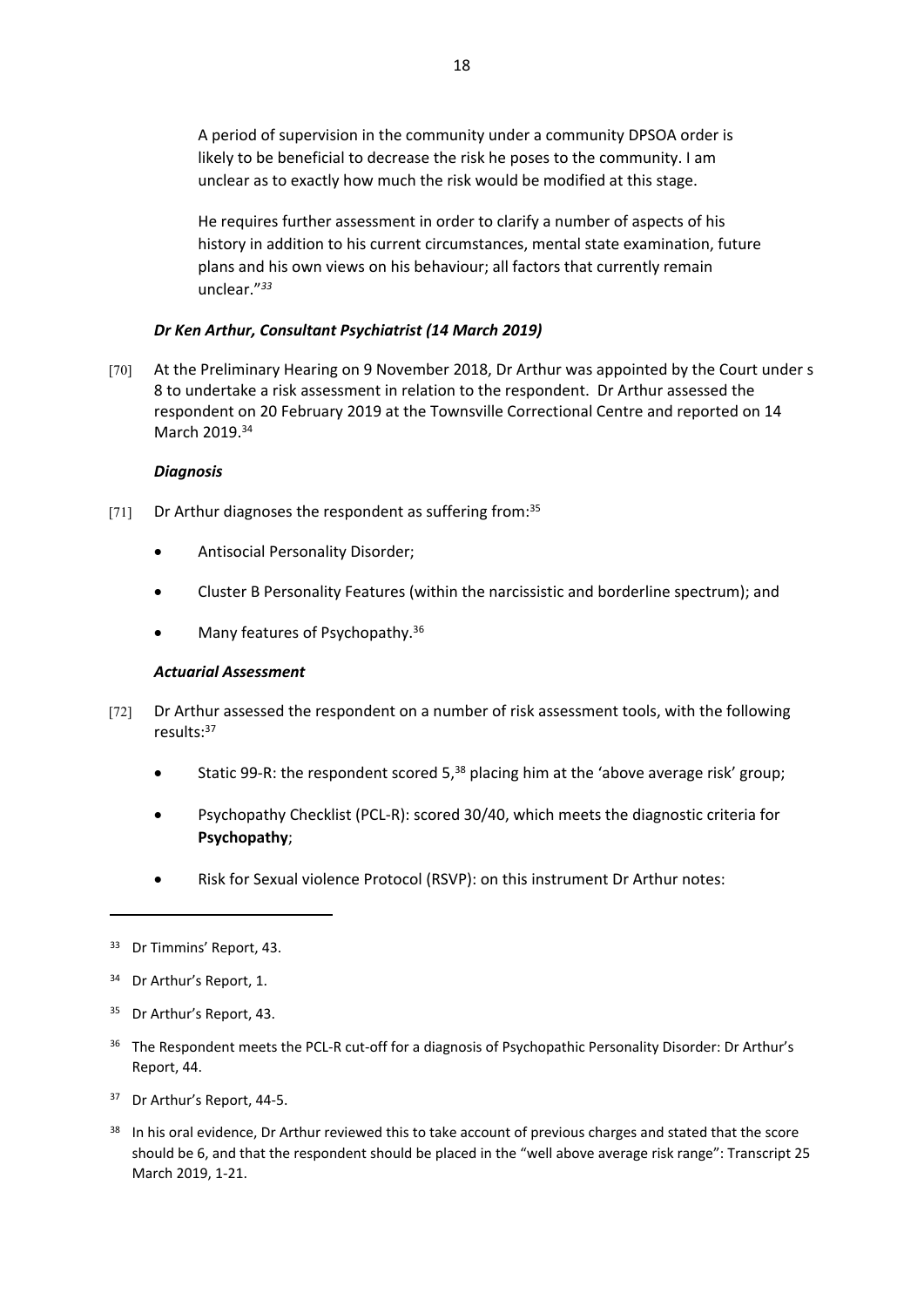A period of supervision in the community under a community DPSOA order is likely to be beneficial to decrease the risk he poses to the community. I am unclear as to exactly how much the risk would be modified at this stage.

He requires further assessment in order to clarify a number of aspects of his history in addition to his current circumstances, mental state examination, future plans and his own views on his behaviour; all factors that currently remain unclear."*<sup>33</sup>*

# *Dr Ken Arthur, Consultant Psychiatrist (14 March 2019)*

[70] At the Preliminary Hearing on 9 November 2018, Dr Arthur was appointed by the Court under s 8 to undertake a risk assessment in relation to the respondent. Dr Arthur assessed the respondent on 20 February 2019 at the Townsville Correctional Centre and reported on 14 March 2019.<sup>34</sup>

# *Diagnosis*

- [71] Dr Arthur diagnoses the respondent as suffering from:<sup>35</sup>
	- Antisocial Personality Disorder;
	- Cluster B Personality Features (within the narcissistic and borderline spectrum); and
	- Many features of Psychopathy.<sup>36</sup>

# *Actuarial Assessment*

- [72] Dr Arthur assessed the respondent on a number of risk assessment tools, with the following results:<sup>37</sup>
	- Static 99-R: the respondent scored 5, $38$  placing him at the 'above average risk' group;
	- Psychopathy Checklist (PCL-R): scored 30/40, which meets the diagnostic criteria for **Psychopathy**;
	- Risk for Sexual violence Protocol (RSVP): on this instrument Dr Arthur notes:

- <sup>35</sup> Dr Arthur's Report, 43.
- <sup>36</sup> The Respondent meets the PCL-R cut-off for a diagnosis of Psychopathic Personality Disorder: Dr Arthur's Report, 44.

<sup>33</sup> Dr Timmins' Report, 43.

<sup>34</sup> Dr Arthur's Report, 1.

<sup>37</sup> Dr Arthur's Report, 44-5.

<sup>&</sup>lt;sup>38</sup> In his oral evidence, Dr Arthur reviewed this to take account of previous charges and stated that the score should be 6, and that the respondent should be placed in the "well above average risk range": Transcript 25 March 2019, 1-21.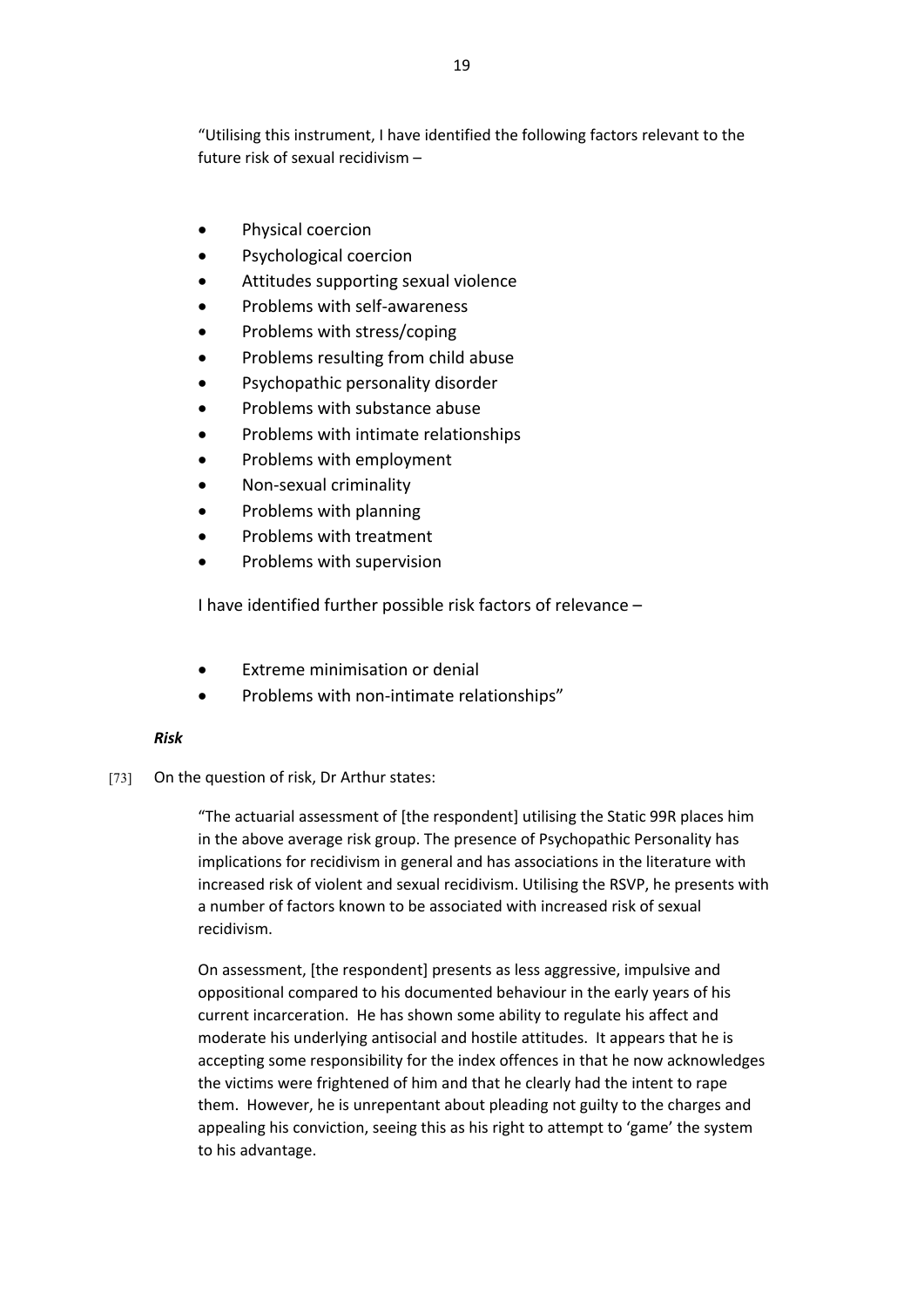"Utilising this instrument, I have identified the following factors relevant to the future risk of sexual recidivism –

- Physical coercion
- Psychological coercion
- Attitudes supporting sexual violence
- Problems with self-awareness
- Problems with stress/coping
- Problems resulting from child abuse
- Psychopathic personality disorder
- Problems with substance abuse
- Problems with intimate relationships
- Problems with employment
- Non-sexual criminality
- Problems with planning
- Problems with treatment
- Problems with supervision

I have identified further possible risk factors of relevance –

- Extreme minimisation or denial
- Problems with non-intimate relationships"

# *Risk*

[73] On the question of risk, Dr Arthur states:

"The actuarial assessment of [the respondent] utilising the Static 99R places him in the above average risk group. The presence of Psychopathic Personality has implications for recidivism in general and has associations in the literature with increased risk of violent and sexual recidivism. Utilising the RSVP, he presents with a number of factors known to be associated with increased risk of sexual recidivism.

On assessment, [the respondent] presents as less aggressive, impulsive and oppositional compared to his documented behaviour in the early years of his current incarceration. He has shown some ability to regulate his affect and moderate his underlying antisocial and hostile attitudes. It appears that he is accepting some responsibility for the index offences in that he now acknowledges the victims were frightened of him and that he clearly had the intent to rape them. However, he is unrepentant about pleading not guilty to the charges and appealing his conviction, seeing this as his right to attempt to 'game' the system to his advantage.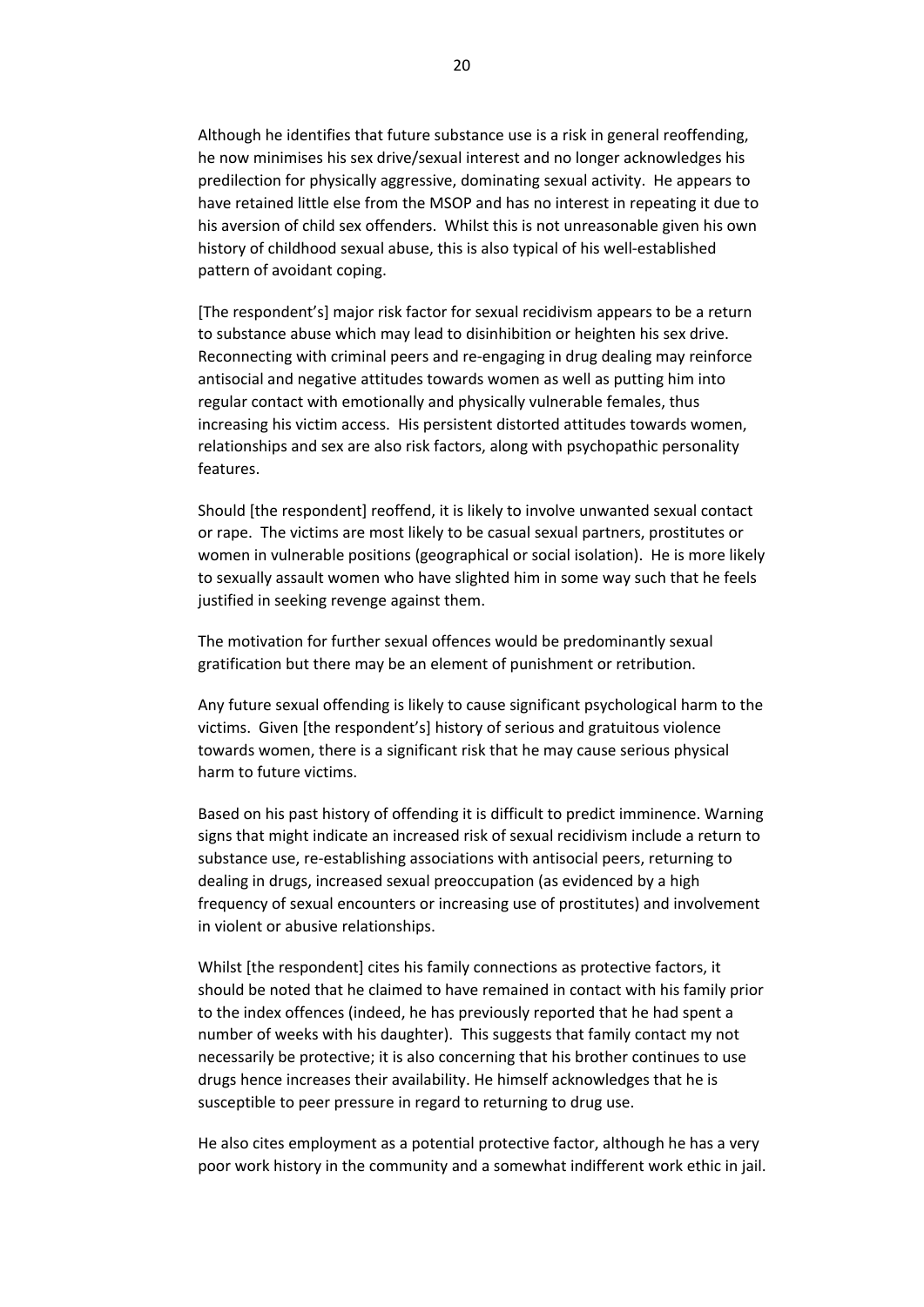Although he identifies that future substance use is a risk in general reoffending, he now minimises his sex drive/sexual interest and no longer acknowledges his predilection for physically aggressive, dominating sexual activity. He appears to have retained little else from the MSOP and has no interest in repeating it due to his aversion of child sex offenders. Whilst this is not unreasonable given his own history of childhood sexual abuse, this is also typical of his well-established pattern of avoidant coping.

[The respondent's] major risk factor for sexual recidivism appears to be a return to substance abuse which may lead to disinhibition or heighten his sex drive. Reconnecting with criminal peers and re-engaging in drug dealing may reinforce antisocial and negative attitudes towards women as well as putting him into regular contact with emotionally and physically vulnerable females, thus increasing his victim access. His persistent distorted attitudes towards women, relationships and sex are also risk factors, along with psychopathic personality features.

Should [the respondent] reoffend, it is likely to involve unwanted sexual contact or rape. The victims are most likely to be casual sexual partners, prostitutes or women in vulnerable positions (geographical or social isolation). He is more likely to sexually assault women who have slighted him in some way such that he feels justified in seeking revenge against them.

The motivation for further sexual offences would be predominantly sexual gratification but there may be an element of punishment or retribution.

Any future sexual offending is likely to cause significant psychological harm to the victims. Given [the respondent's] history of serious and gratuitous violence towards women, there is a significant risk that he may cause serious physical harm to future victims.

Based on his past history of offending it is difficult to predict imminence. Warning signs that might indicate an increased risk of sexual recidivism include a return to substance use, re-establishing associations with antisocial peers, returning to dealing in drugs, increased sexual preoccupation (as evidenced by a high frequency of sexual encounters or increasing use of prostitutes) and involvement in violent or abusive relationships.

Whilst [the respondent] cites his family connections as protective factors, it should be noted that he claimed to have remained in contact with his family prior to the index offences (indeed, he has previously reported that he had spent a number of weeks with his daughter). This suggests that family contact my not necessarily be protective; it is also concerning that his brother continues to use drugs hence increases their availability. He himself acknowledges that he is susceptible to peer pressure in regard to returning to drug use.

He also cites employment as a potential protective factor, although he has a very poor work history in the community and a somewhat indifferent work ethic in jail.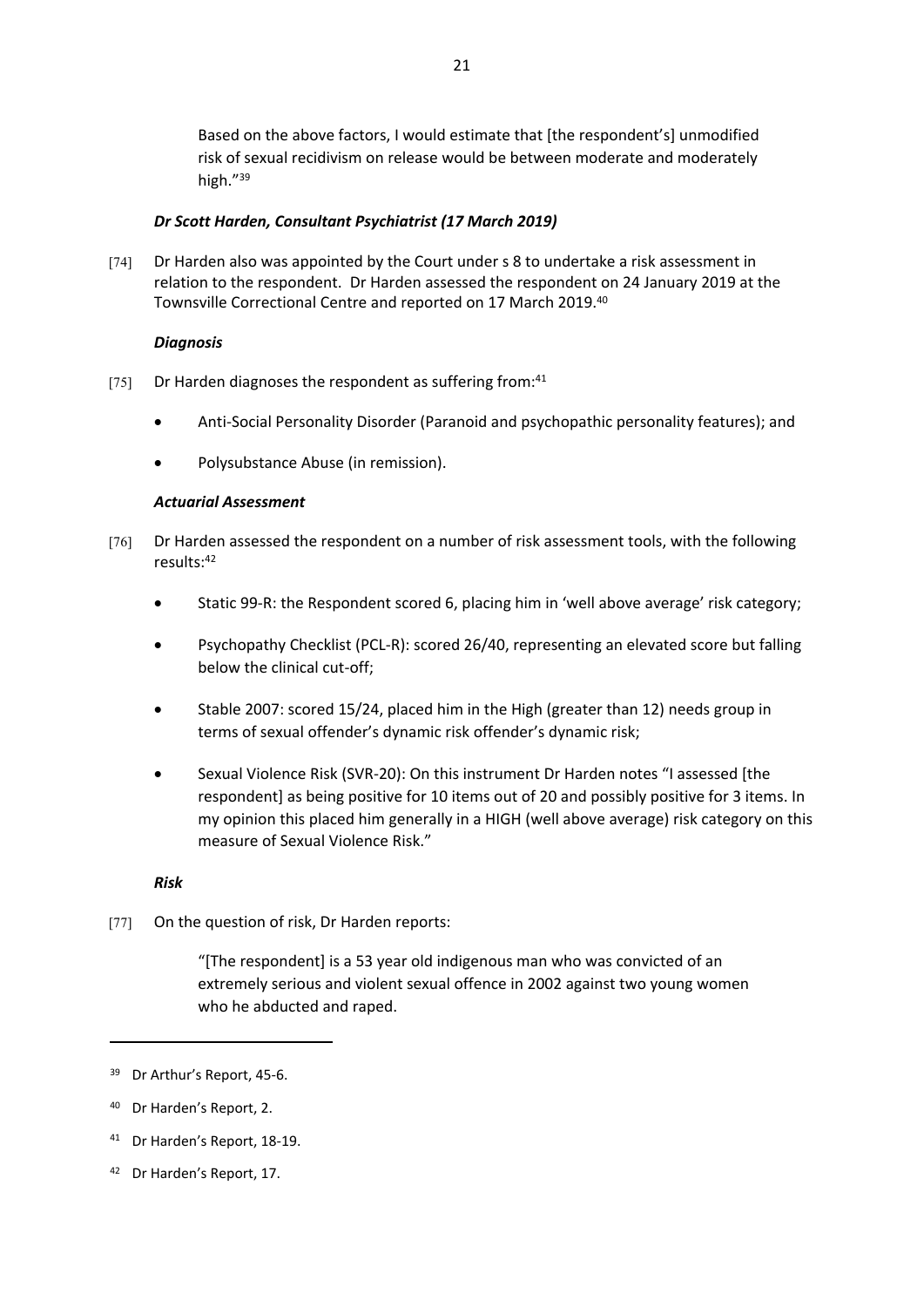Based on the above factors, I would estimate that [the respondent's] unmodified risk of sexual recidivism on release would be between moderate and moderately high."<sup>39</sup>

# *Dr Scott Harden, Consultant Psychiatrist (17 March 2019)*

[74] Dr Harden also was appointed by the Court under s 8 to undertake a risk assessment in relation to the respondent. Dr Harden assessed the respondent on 24 January 2019 at the Townsville Correctional Centre and reported on 17 March 2019.<sup>40</sup>

### *Diagnosis*

- [75] Dr Harden diagnoses the respondent as suffering from:<sup>41</sup>
	- Anti-Social Personality Disorder (Paranoid and psychopathic personality features); and
	- Polysubstance Abuse (in remission).

### *Actuarial Assessment*

- [76] Dr Harden assessed the respondent on a number of risk assessment tools, with the following results:<sup>42</sup>
	- Static 99-R: the Respondent scored 6, placing him in 'well above average' risk category;
	- Psychopathy Checklist (PCL-R): scored 26/40, representing an elevated score but falling below the clinical cut-off;
	- Stable 2007: scored 15/24, placed him in the High (greater than 12) needs group in terms of sexual offender's dynamic risk offender's dynamic risk;
	- Sexual Violence Risk (SVR-20): On this instrument Dr Harden notes "I assessed [the respondent] as being positive for 10 items out of 20 and possibly positive for 3 items. In my opinion this placed him generally in a HIGH (well above average) risk category on this measure of Sexual Violence Risk."

#### *Risk*

[77] On the question of risk, Dr Harden reports:

"[The respondent] is a 53 year old indigenous man who was convicted of an extremely serious and violent sexual offence in 2002 against two young women who he abducted and raped.

42 Dr Harden's Report, 17.

<sup>39</sup> Dr Arthur's Report, 45-6.

<sup>40</sup> Dr Harden's Report, 2.

<sup>41</sup> Dr Harden's Report, 18-19.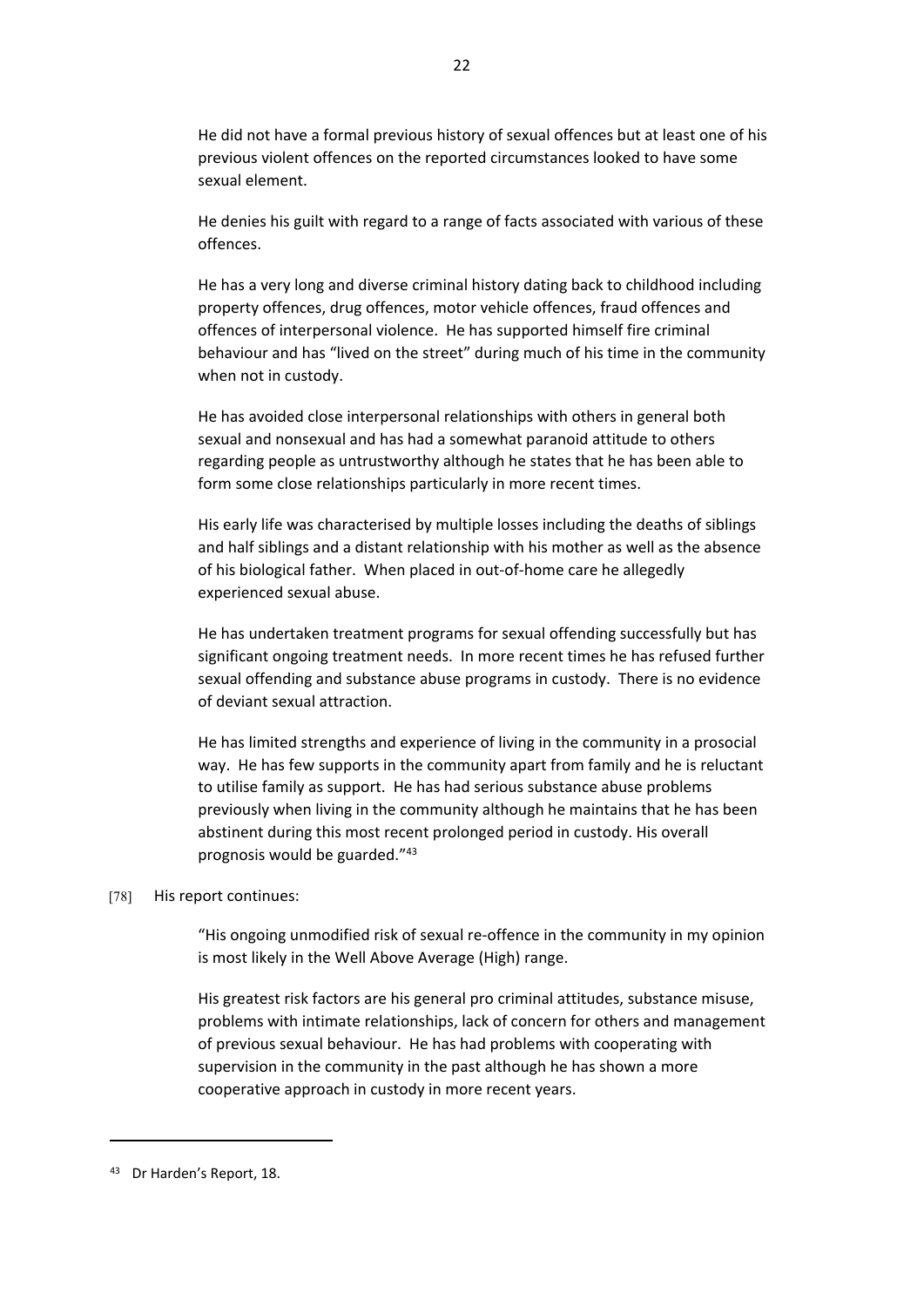He did not have a formal previous history of sexual offences but at least one of his previous violent offences on the reported circumstances looked to have some sexual element.

He denies his guilt with regard to a range of facts associated with various of these offences.

He has a very long and diverse criminal history dating back to childhood including property offences, drug offences, motor vehicle offences, fraud offences and offences of interpersonal violence. He has supported himself fire criminal behaviour and has "lived on the street" during much of his time in the community when not in custody.

He has avoided close interpersonal relationships with others in general both sexual and nonsexual and has had a somewhat paranoid attitude to others regarding people as untrustworthy although he states that he has been able to form some close relationships particularly in more recent times.

His early life was characterised by multiple losses including the deaths of siblings and half siblings and a distant relationship with his mother as well as the absence of his biological father. When placed in out-of-home care he allegedly experienced sexual abuse.

He has undertaken treatment programs for sexual offending successfully but has significant ongoing treatment needs. In more recent times he has refused further sexual offending and substance abuse programs in custody. There is no evidence of deviant sexual attraction.

He has limited strengths and experience of living in the community in a prosocial way. He has few supports in the community apart from family and he is reluctant to utilise family as support. He has had serious substance abuse problems previously when living in the community although he maintains that he has been abstinent during this most recent prolonged period in custody. His overall prognosis would be guarded."<sup>43</sup>

#### [78] His report continues:

"His ongoing unmodified risk of sexual re-offence in the community in my opinion is most likely in the Well Above Average (High) range.

His greatest risk factors are his general pro criminal attitudes, substance misuse, problems with intimate relationships, lack of concern for others and management of previous sexual behaviour. He has had problems with cooperating with supervision in the community in the past although he has shown a more cooperative approach in custody in more recent years.

<sup>43</sup> Dr Harden's Report, 18.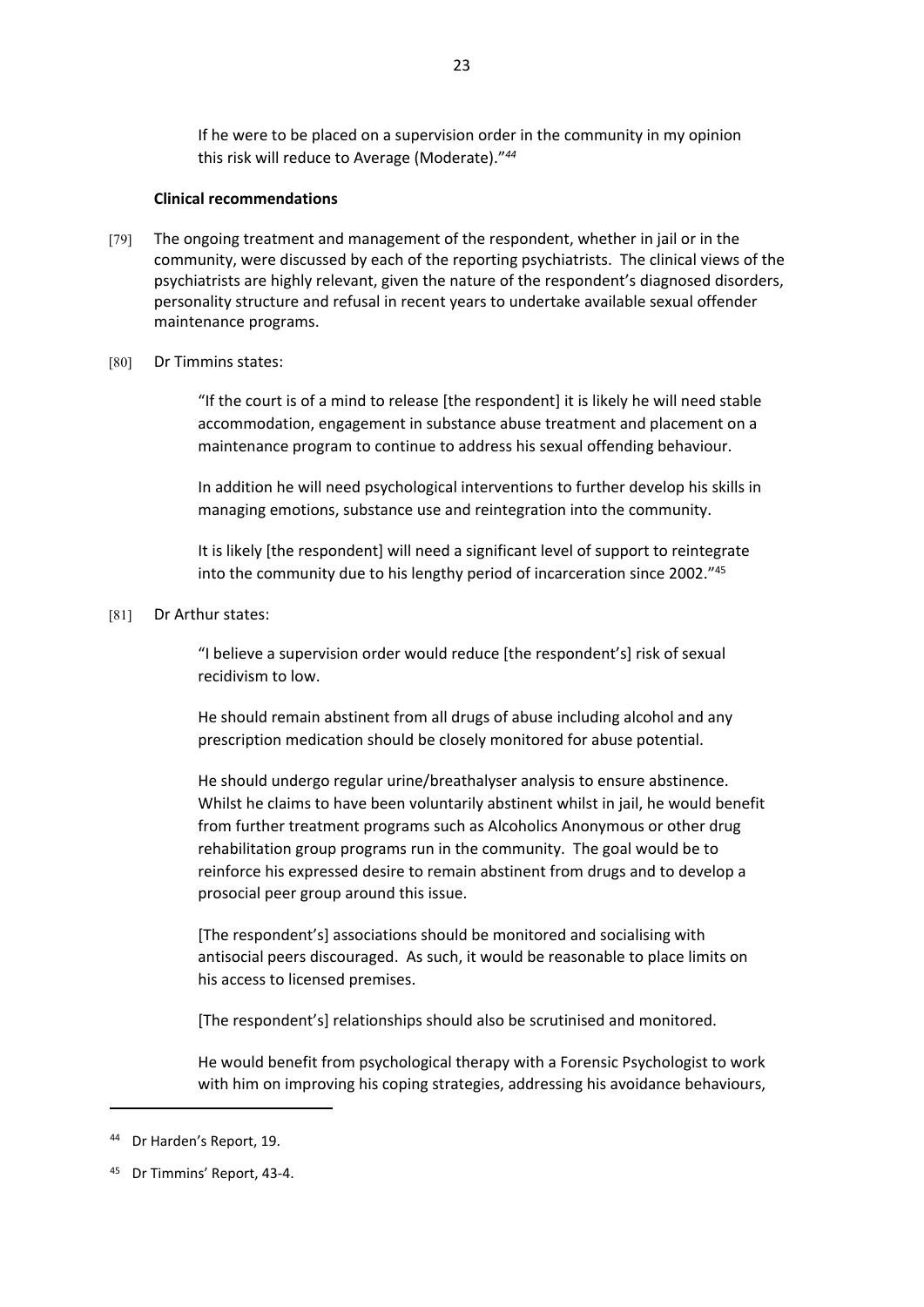If he were to be placed on a supervision order in the community in my opinion this risk will reduce to Average (Moderate)."*<sup>44</sup>*

#### **Clinical recommendations**

- [79] The ongoing treatment and management of the respondent, whether in jail or in the community, were discussed by each of the reporting psychiatrists. The clinical views of the psychiatrists are highly relevant, given the nature of the respondent's diagnosed disorders, personality structure and refusal in recent years to undertake available sexual offender maintenance programs.
- [80] Dr Timmins states:

"If the court is of a mind to release [the respondent] it is likely he will need stable accommodation, engagement in substance abuse treatment and placement on a maintenance program to continue to address his sexual offending behaviour.

In addition he will need psychological interventions to further develop his skills in managing emotions, substance use and reintegration into the community.

It is likely [the respondent] will need a significant level of support to reintegrate into the community due to his lengthy period of incarceration since 2002."<sup>45</sup>

#### [81] Dr Arthur states:

"I believe a supervision order would reduce [the respondent's] risk of sexual recidivism to low.

He should remain abstinent from all drugs of abuse including alcohol and any prescription medication should be closely monitored for abuse potential.

He should undergo regular urine/breathalyser analysis to ensure abstinence. Whilst he claims to have been voluntarily abstinent whilst in jail, he would benefit from further treatment programs such as Alcoholics Anonymous or other drug rehabilitation group programs run in the community. The goal would be to reinforce his expressed desire to remain abstinent from drugs and to develop a prosocial peer group around this issue.

[The respondent's] associations should be monitored and socialising with antisocial peers discouraged. As such, it would be reasonable to place limits on his access to licensed premises.

[The respondent's] relationships should also be scrutinised and monitored.

He would benefit from psychological therapy with a Forensic Psychologist to work with him on improving his coping strategies, addressing his avoidance behaviours,

<sup>44</sup> Dr Harden's Report, 19.

<sup>45</sup> Dr Timmins' Report, 43-4.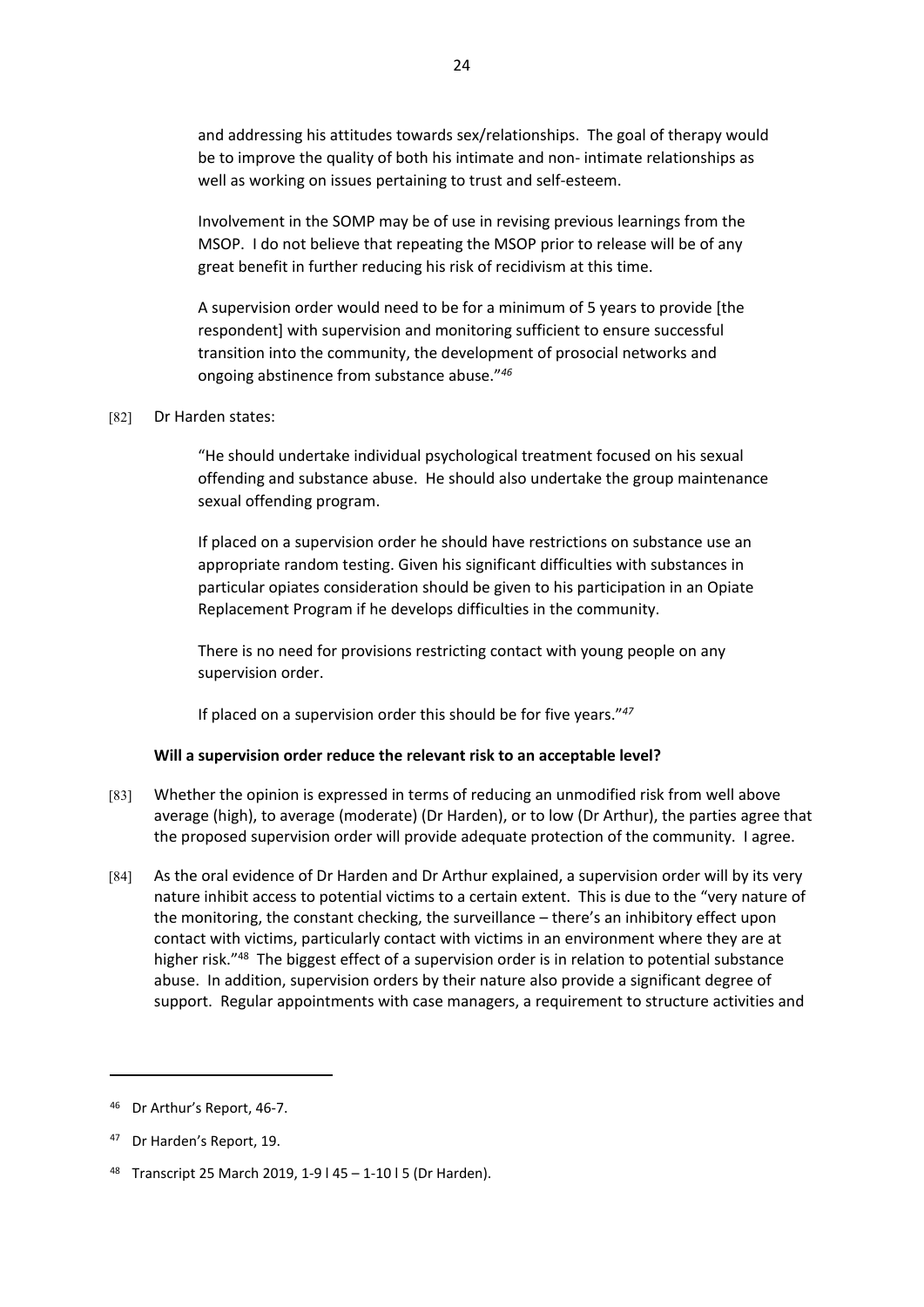and addressing his attitudes towards sex/relationships. The goal of therapy would be to improve the quality of both his intimate and non- intimate relationships as well as working on issues pertaining to trust and self-esteem.

Involvement in the SOMP may be of use in revising previous learnings from the MSOP. I do not believe that repeating the MSOP prior to release will be of any great benefit in further reducing his risk of recidivism at this time.

A supervision order would need to be for a minimum of 5 years to provide [the respondent] with supervision and monitoring sufficient to ensure successful transition into the community, the development of prosocial networks and ongoing abstinence from substance abuse."*<sup>46</sup>*

### [82] Dr Harden states:

"He should undertake individual psychological treatment focused on his sexual offending and substance abuse. He should also undertake the group maintenance sexual offending program.

If placed on a supervision order he should have restrictions on substance use an appropriate random testing. Given his significant difficulties with substances in particular opiates consideration should be given to his participation in an Opiate Replacement Program if he develops difficulties in the community.

There is no need for provisions restricting contact with young people on any supervision order.

If placed on a supervision order this should be for five years."*<sup>47</sup>*

# **Will a supervision order reduce the relevant risk to an acceptable level?**

- [83] Whether the opinion is expressed in terms of reducing an unmodified risk from well above average (high), to average (moderate) (Dr Harden), or to low (Dr Arthur), the parties agree that the proposed supervision order will provide adequate protection of the community. I agree.
- [84] As the oral evidence of Dr Harden and Dr Arthur explained, a supervision order will by its very nature inhibit access to potential victims to a certain extent. This is due to the "very nature of the monitoring, the constant checking, the surveillance – there's an inhibitory effect upon contact with victims, particularly contact with victims in an environment where they are at higher risk."<sup>48</sup> The biggest effect of a supervision order is in relation to potential substance abuse. In addition, supervision orders by their nature also provide a significant degree of support. Regular appointments with case managers, a requirement to structure activities and

<sup>46</sup> Dr Arthur's Report, 46-7.

<sup>47</sup> Dr Harden's Report, 19.

<sup>48</sup> Transcript 25 March 2019, 1-9 l 45 – 1-10 l 5 (Dr Harden).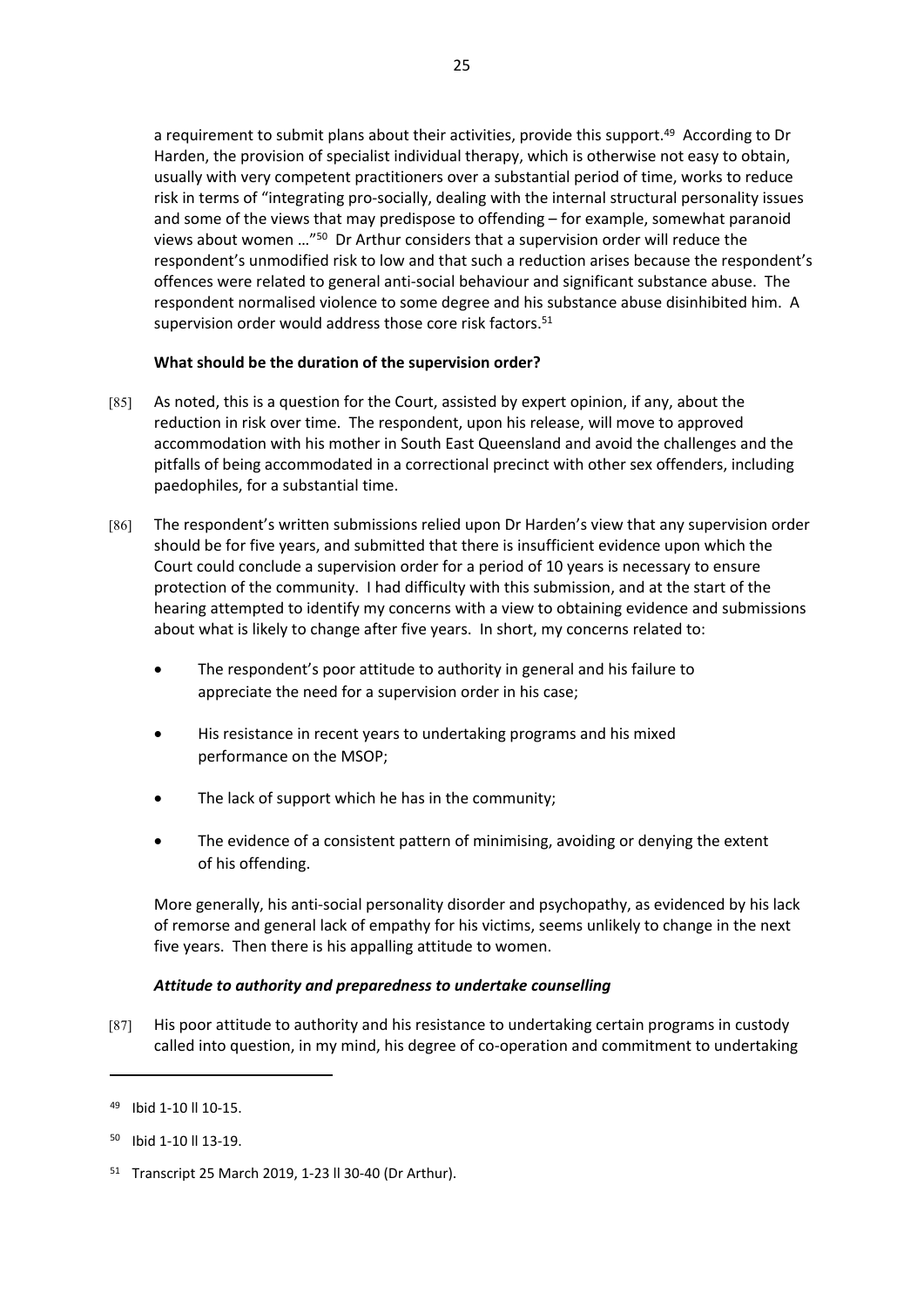a requirement to submit plans about their activities, provide this support.<sup>49</sup> According to Dr Harden, the provision of specialist individual therapy, which is otherwise not easy to obtain, usually with very competent practitioners over a substantial period of time, works to reduce risk in terms of "integrating pro-socially, dealing with the internal structural personality issues and some of the views that may predispose to offending – for example, somewhat paranoid views about women …"<sup>50</sup> Dr Arthur considers that a supervision order will reduce the respondent's unmodified risk to low and that such a reduction arises because the respondent's offences were related to general anti-social behaviour and significant substance abuse. The respondent normalised violence to some degree and his substance abuse disinhibited him. A supervision order would address those core risk factors.<sup>51</sup>

# **What should be the duration of the supervision order?**

- [85] As noted, this is a question for the Court, assisted by expert opinion, if any, about the reduction in risk over time. The respondent, upon his release, will move to approved accommodation with his mother in South East Queensland and avoid the challenges and the pitfalls of being accommodated in a correctional precinct with other sex offenders, including paedophiles, for a substantial time.
- [86] The respondent's written submissions relied upon Dr Harden's view that any supervision order should be for five years, and submitted that there is insufficient evidence upon which the Court could conclude a supervision order for a period of 10 years is necessary to ensure protection of the community. I had difficulty with this submission, and at the start of the hearing attempted to identify my concerns with a view to obtaining evidence and submissions about what is likely to change after five years. In short, my concerns related to:
	- The respondent's poor attitude to authority in general and his failure to appreciate the need for a supervision order in his case;
	- His resistance in recent years to undertaking programs and his mixed performance on the MSOP;
	- The lack of support which he has in the community;
	- The evidence of a consistent pattern of minimising, avoiding or denying the extent of his offending.

More generally, his anti-social personality disorder and psychopathy, as evidenced by his lack of remorse and general lack of empathy for his victims, seems unlikely to change in the next five years. Then there is his appalling attitude to women.

# *Attitude to authority and preparedness to undertake counselling*

[87] His poor attitude to authority and his resistance to undertaking certain programs in custody called into question, in my mind, his degree of co-operation and commitment to undertaking

<sup>49</sup> Ibid 1-10 ll 10-15.

<sup>50</sup> Ibid 1-10 ll 13-19.

<sup>51</sup> Transcript 25 March 2019, 1-23 ll 30-40 (Dr Arthur).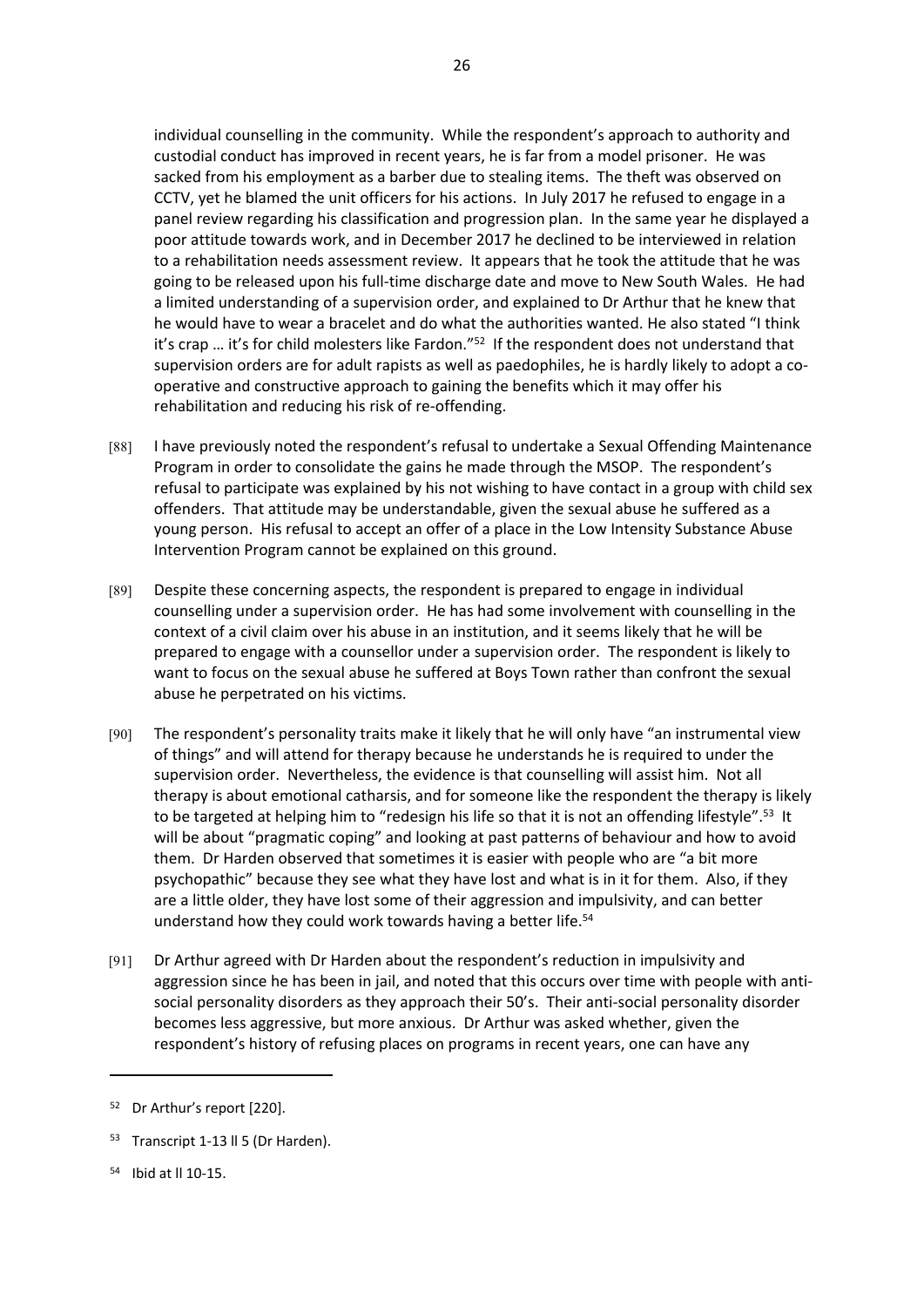individual counselling in the community. While the respondent's approach to authority and custodial conduct has improved in recent years, he is far from a model prisoner. He was sacked from his employment as a barber due to stealing items. The theft was observed on CCTV, yet he blamed the unit officers for his actions. In July 2017 he refused to engage in a panel review regarding his classification and progression plan. In the same year he displayed a poor attitude towards work, and in December 2017 he declined to be interviewed in relation to a rehabilitation needs assessment review. It appears that he took the attitude that he was going to be released upon his full-time discharge date and move to New South Wales. He had a limited understanding of a supervision order, and explained to Dr Arthur that he knew that he would have to wear a bracelet and do what the authorities wanted. He also stated "I think it's crap ... it's for child molesters like Fardon."<sup>52</sup> If the respondent does not understand that supervision orders are for adult rapists as well as paedophiles, he is hardly likely to adopt a cooperative and constructive approach to gaining the benefits which it may offer his rehabilitation and reducing his risk of re-offending.

26

- [88] I have previously noted the respondent's refusal to undertake a Sexual Offending Maintenance Program in order to consolidate the gains he made through the MSOP. The respondent's refusal to participate was explained by his not wishing to have contact in a group with child sex offenders. That attitude may be understandable, given the sexual abuse he suffered as a young person. His refusal to accept an offer of a place in the Low Intensity Substance Abuse Intervention Program cannot be explained on this ground.
- [89] Despite these concerning aspects, the respondent is prepared to engage in individual counselling under a supervision order. He has had some involvement with counselling in the context of a civil claim over his abuse in an institution, and it seems likely that he will be prepared to engage with a counsellor under a supervision order. The respondent is likely to want to focus on the sexual abuse he suffered at Boys Town rather than confront the sexual abuse he perpetrated on his victims.
- [90] The respondent's personality traits make it likely that he will only have "an instrumental view of things" and will attend for therapy because he understands he is required to under the supervision order. Nevertheless, the evidence is that counselling will assist him. Not all therapy is about emotional catharsis, and for someone like the respondent the therapy is likely to be targeted at helping him to "redesign his life so that it is not an offending lifestyle".<sup>53</sup> It will be about "pragmatic coping" and looking at past patterns of behaviour and how to avoid them. Dr Harden observed that sometimes it is easier with people who are "a bit more psychopathic" because they see what they have lost and what is in it for them. Also, if they are a little older, they have lost some of their aggression and impulsivity, and can better understand how they could work towards having a better life.<sup>54</sup>
- [91] Dr Arthur agreed with Dr Harden about the respondent's reduction in impulsivity and aggression since he has been in jail, and noted that this occurs over time with people with antisocial personality disorders as they approach their 50's. Their anti-social personality disorder becomes less aggressive, but more anxious. Dr Arthur was asked whether, given the respondent's history of refusing places on programs in recent years, one can have any

<sup>52</sup> Dr Arthur's report [220].

<sup>&</sup>lt;sup>53</sup> Transcript 1-13 ll 5 (Dr Harden).

<sup>54</sup> Ibid at ll 10-15.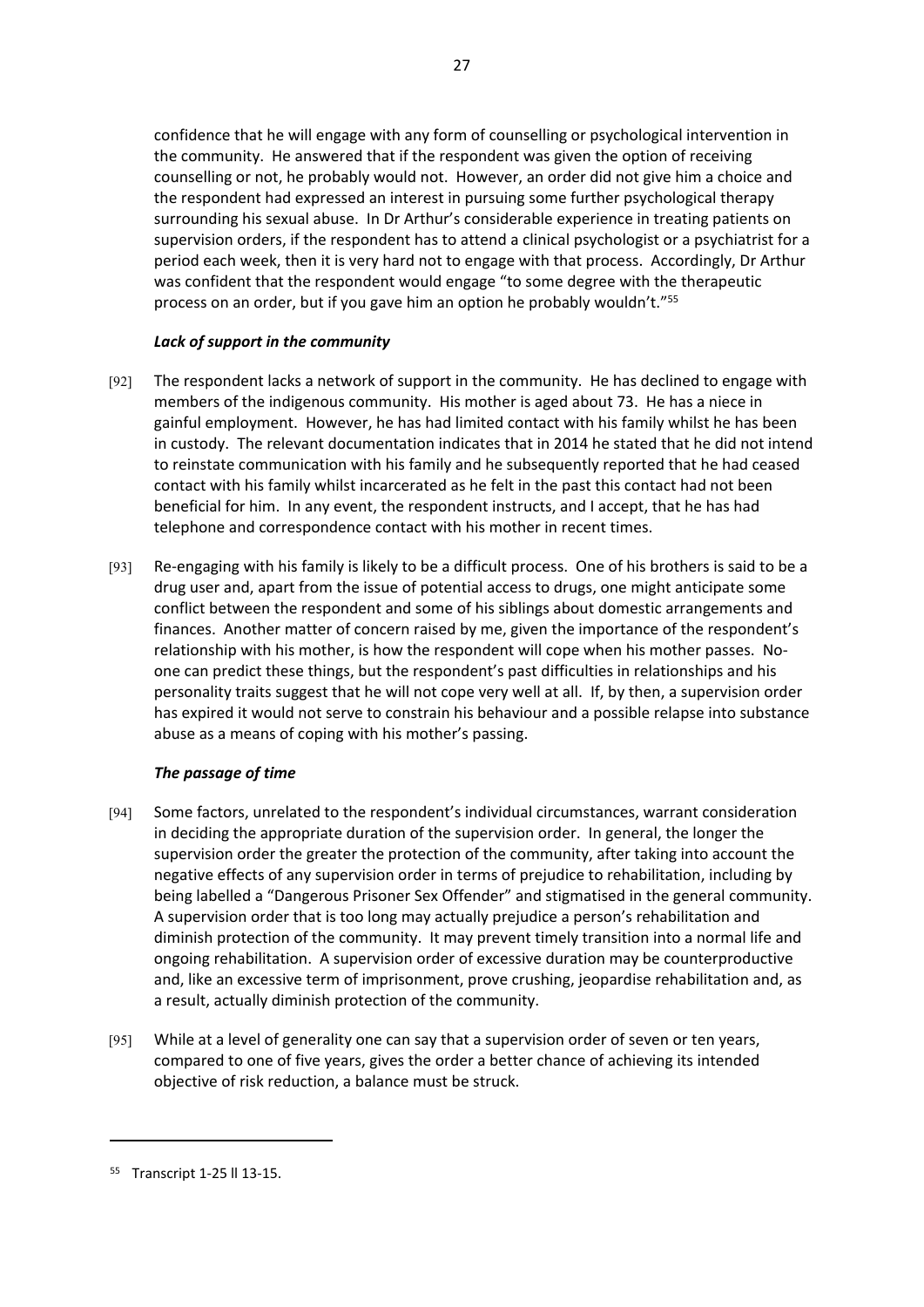confidence that he will engage with any form of counselling or psychological intervention in the community. He answered that if the respondent was given the option of receiving counselling or not, he probably would not. However, an order did not give him a choice and the respondent had expressed an interest in pursuing some further psychological therapy surrounding his sexual abuse. In Dr Arthur's considerable experience in treating patients on supervision orders, if the respondent has to attend a clinical psychologist or a psychiatrist for a period each week, then it is very hard not to engage with that process. Accordingly, Dr Arthur was confident that the respondent would engage "to some degree with the therapeutic process on an order, but if you gave him an option he probably wouldn't."<sup>55</sup>

# *Lack of support in the community*

- [92] The respondent lacks a network of support in the community. He has declined to engage with members of the indigenous community. His mother is aged about 73. He has a niece in gainful employment. However, he has had limited contact with his family whilst he has been in custody. The relevant documentation indicates that in 2014 he stated that he did not intend to reinstate communication with his family and he subsequently reported that he had ceased contact with his family whilst incarcerated as he felt in the past this contact had not been beneficial for him. In any event, the respondent instructs, and I accept, that he has had telephone and correspondence contact with his mother in recent times.
- [93] Re-engaging with his family is likely to be a difficult process. One of his brothers is said to be a drug user and, apart from the issue of potential access to drugs, one might anticipate some conflict between the respondent and some of his siblings about domestic arrangements and finances. Another matter of concern raised by me, given the importance of the respondent's relationship with his mother, is how the respondent will cope when his mother passes. Noone can predict these things, but the respondent's past difficulties in relationships and his personality traits suggest that he will not cope very well at all. If, by then, a supervision order has expired it would not serve to constrain his behaviour and a possible relapse into substance abuse as a means of coping with his mother's passing.

# *The passage of time*

- [94] Some factors, unrelated to the respondent's individual circumstances, warrant consideration in deciding the appropriate duration of the supervision order. In general, the longer the supervision order the greater the protection of the community, after taking into account the negative effects of any supervision order in terms of prejudice to rehabilitation, including by being labelled a "Dangerous Prisoner Sex Offender" and stigmatised in the general community. A supervision order that is too long may actually prejudice a person's rehabilitation and diminish protection of the community. It may prevent timely transition into a normal life and ongoing rehabilitation. A supervision order of excessive duration may be counterproductive and, like an excessive term of imprisonment, prove crushing, jeopardise rehabilitation and, as a result, actually diminish protection of the community.
- [95] While at a level of generality one can say that a supervision order of seven or ten years, compared to one of five years, gives the order a better chance of achieving its intended objective of risk reduction, a balance must be struck.

<sup>55</sup> Transcript 1-25 ll 13-15.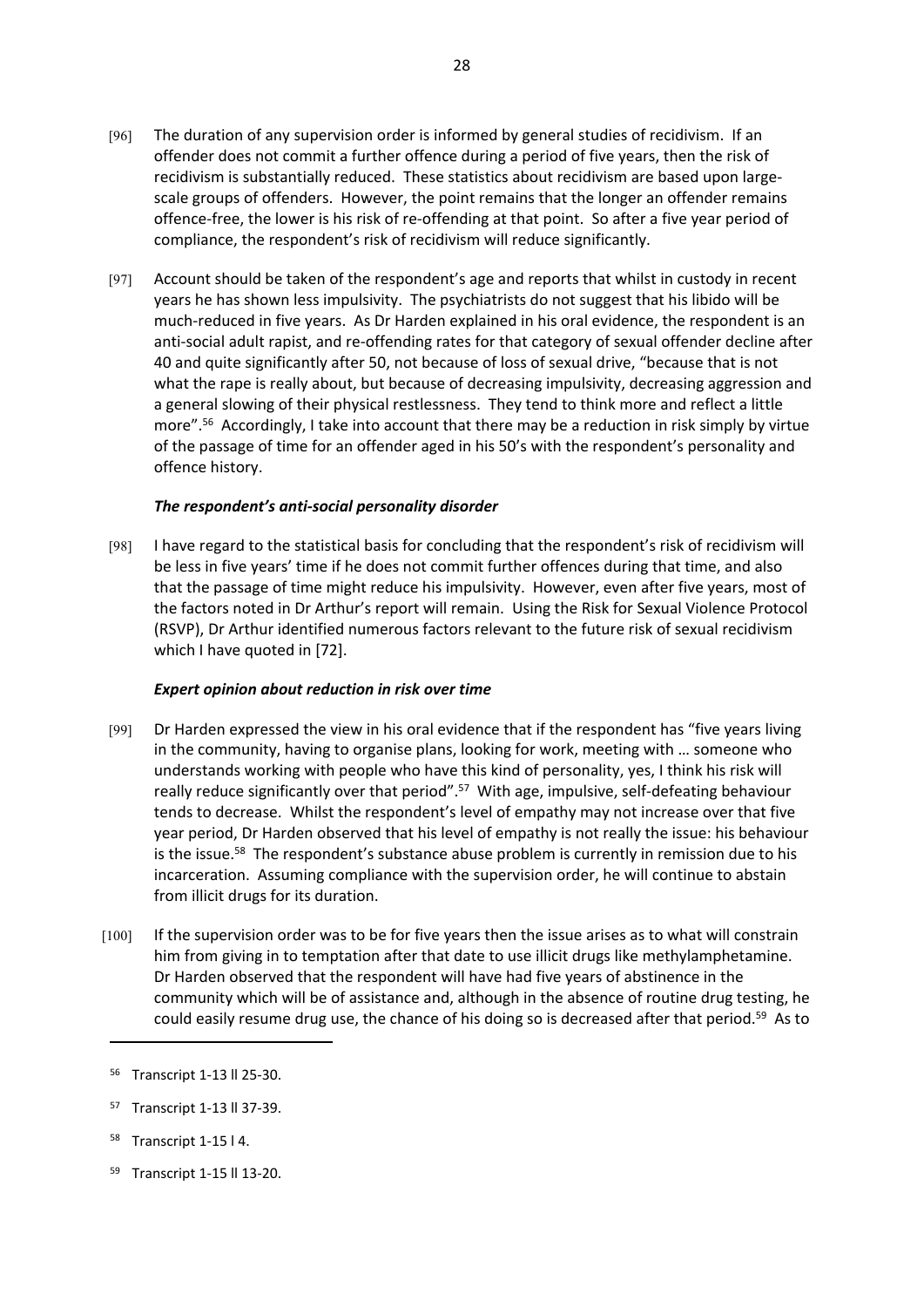- [96] The duration of any supervision order is informed by general studies of recidivism. If an offender does not commit a further offence during a period of five years, then the risk of recidivism is substantially reduced. These statistics about recidivism are based upon largescale groups of offenders. However, the point remains that the longer an offender remains offence-free, the lower is his risk of re-offending at that point. So after a five year period of compliance, the respondent's risk of recidivism will reduce significantly.
- [97] Account should be taken of the respondent's age and reports that whilst in custody in recent years he has shown less impulsivity. The psychiatrists do not suggest that his libido will be much-reduced in five years. As Dr Harden explained in his oral evidence, the respondent is an anti-social adult rapist, and re-offending rates for that category of sexual offender decline after 40 and quite significantly after 50, not because of loss of sexual drive, "because that is not what the rape is really about, but because of decreasing impulsivity, decreasing aggression and a general slowing of their physical restlessness. They tend to think more and reflect a little more".<sup>56</sup> Accordingly, I take into account that there may be a reduction in risk simply by virtue of the passage of time for an offender aged in his 50's with the respondent's personality and offence history.

# *The respondent's anti-social personality disorder*

[98] I have regard to the statistical basis for concluding that the respondent's risk of recidivism will be less in five years' time if he does not commit further offences during that time, and also that the passage of time might reduce his impulsivity. However, even after five years, most of the factors noted in Dr Arthur's report will remain. Using the Risk for Sexual Violence Protocol (RSVP), Dr Arthur identified numerous factors relevant to the future risk of sexual recidivism which I have quoted in [72].

# *Expert opinion about reduction in risk over time*

- [99] Dr Harden expressed the view in his oral evidence that if the respondent has "five years living in the community, having to organise plans, looking for work, meeting with … someone who understands working with people who have this kind of personality, yes, I think his risk will really reduce significantly over that period".<sup>57</sup> With age, impulsive, self-defeating behaviour tends to decrease. Whilst the respondent's level of empathy may not increase over that five year period, Dr Harden observed that his level of empathy is not really the issue: his behaviour is the issue.<sup>58</sup> The respondent's substance abuse problem is currently in remission due to his incarceration. Assuming compliance with the supervision order, he will continue to abstain from illicit drugs for its duration.
- [100] If the supervision order was to be for five years then the issue arises as to what will constrain him from giving in to temptation after that date to use illicit drugs like methylamphetamine. Dr Harden observed that the respondent will have had five years of abstinence in the community which will be of assistance and, although in the absence of routine drug testing, he could easily resume drug use, the chance of his doing so is decreased after that period.<sup>59</sup> As to

- Transcript 1-15 l 4.
- 59 Transcript 1-15 ll 13-20.

<sup>56</sup> Transcript 1-13 ll 25-30.

<sup>57</sup> Transcript 1-13 ll 37-39.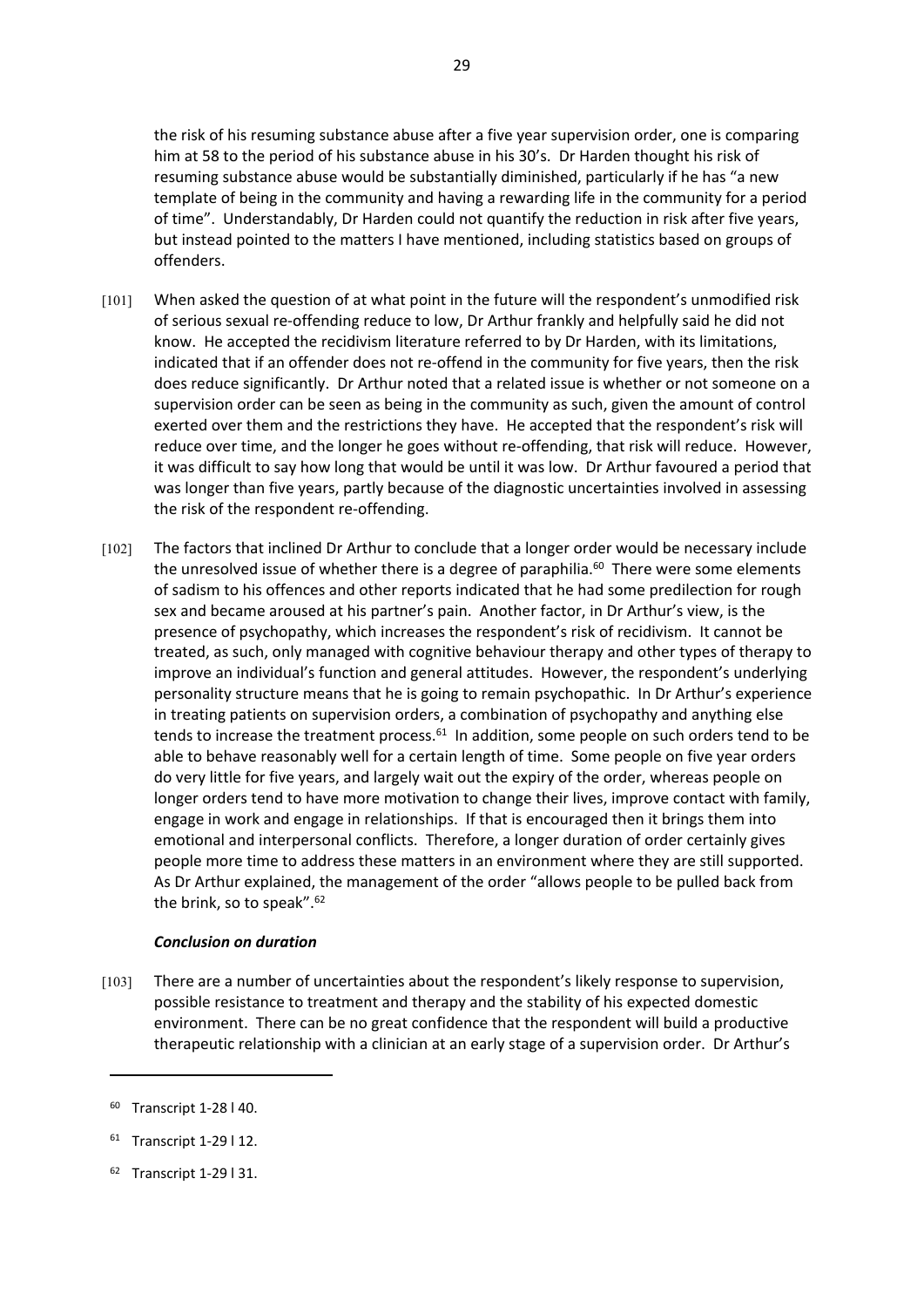the risk of his resuming substance abuse after a five year supervision order, one is comparing him at 58 to the period of his substance abuse in his 30's. Dr Harden thought his risk of resuming substance abuse would be substantially diminished, particularly if he has "a new template of being in the community and having a rewarding life in the community for a period of time". Understandably, Dr Harden could not quantify the reduction in risk after five years, but instead pointed to the matters I have mentioned, including statistics based on groups of offenders.

- [101] When asked the question of at what point in the future will the respondent's unmodified risk of serious sexual re-offending reduce to low, Dr Arthur frankly and helpfully said he did not know. He accepted the recidivism literature referred to by Dr Harden, with its limitations, indicated that if an offender does not re-offend in the community for five years, then the risk does reduce significantly. Dr Arthur noted that a related issue is whether or not someone on a supervision order can be seen as being in the community as such, given the amount of control exerted over them and the restrictions they have. He accepted that the respondent's risk will reduce over time, and the longer he goes without re-offending, that risk will reduce. However, it was difficult to say how long that would be until it was low. Dr Arthur favoured a period that was longer than five years, partly because of the diagnostic uncertainties involved in assessing the risk of the respondent re-offending.
- [102] The factors that inclined Dr Arthur to conclude that a longer order would be necessary include the unresolved issue of whether there is a degree of paraphilia. $60$  There were some elements of sadism to his offences and other reports indicated that he had some predilection for rough sex and became aroused at his partner's pain. Another factor, in Dr Arthur's view, is the presence of psychopathy, which increases the respondent's risk of recidivism. It cannot be treated, as such, only managed with cognitive behaviour therapy and other types of therapy to improve an individual's function and general attitudes. However, the respondent's underlying personality structure means that he is going to remain psychopathic. In Dr Arthur's experience in treating patients on supervision orders, a combination of psychopathy and anything else tends to increase the treatment process. $61$  In addition, some people on such orders tend to be able to behave reasonably well for a certain length of time. Some people on five year orders do very little for five years, and largely wait out the expiry of the order, whereas people on longer orders tend to have more motivation to change their lives, improve contact with family, engage in work and engage in relationships. If that is encouraged then it brings them into emotional and interpersonal conflicts. Therefore, a longer duration of order certainly gives people more time to address these matters in an environment where they are still supported. As Dr Arthur explained, the management of the order "allows people to be pulled back from the brink, so to speak".<sup>62</sup>

# *Conclusion on duration*

[103] There are a number of uncertainties about the respondent's likely response to supervision, possible resistance to treatment and therapy and the stability of his expected domestic environment. There can be no great confidence that the respondent will build a productive therapeutic relationship with a clinician at an early stage of a supervision order. Dr Arthur's

62 Transcript 1-29 l 31.

29

<sup>60</sup> Transcript 1-28 l 40.

<sup>61</sup> Transcript 1-29 l 12.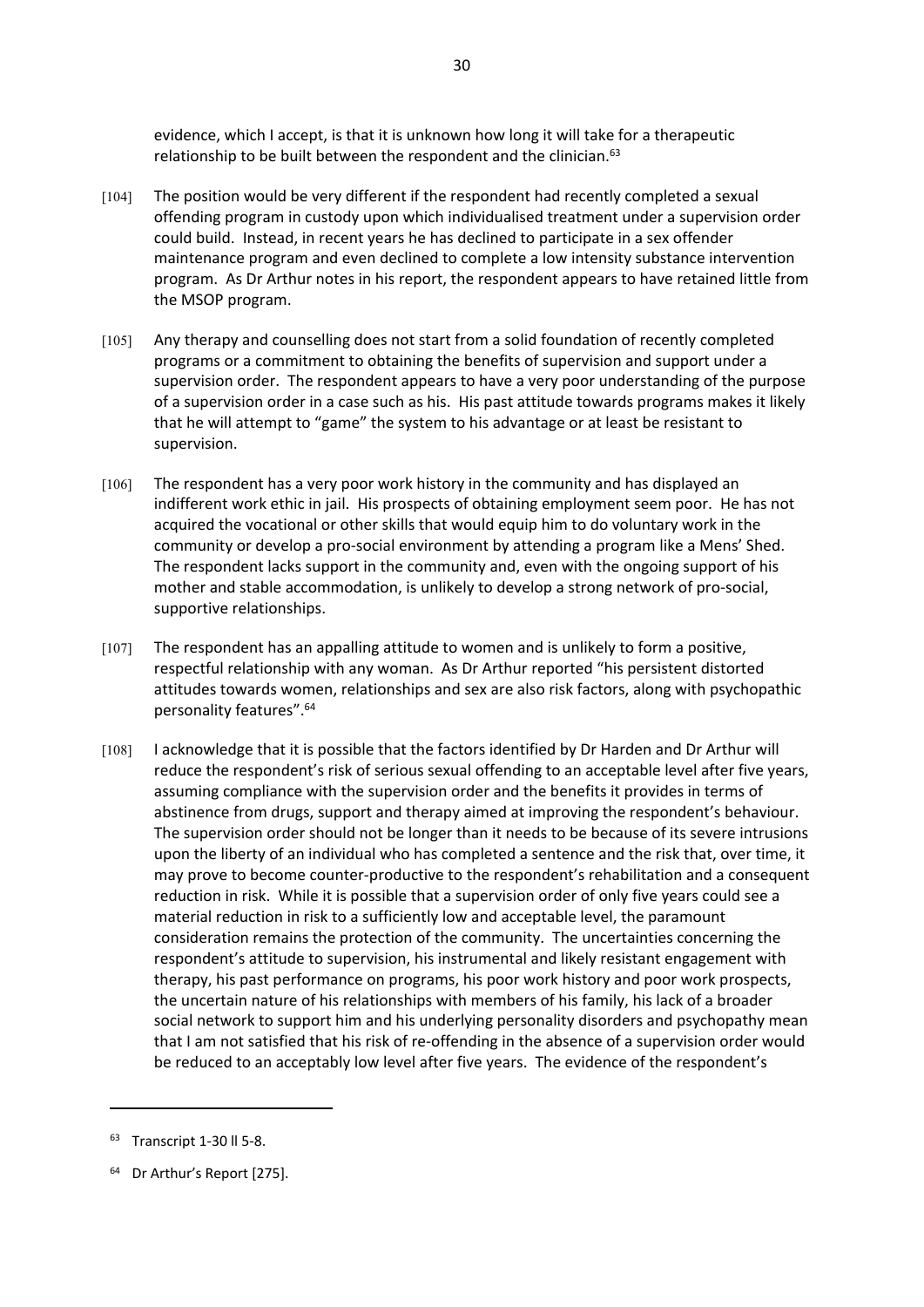evidence, which I accept, is that it is unknown how long it will take for a therapeutic relationship to be built between the respondent and the clinician.<sup>63</sup>

30

- [104] The position would be very different if the respondent had recently completed a sexual offending program in custody upon which individualised treatment under a supervision order could build. Instead, in recent years he has declined to participate in a sex offender maintenance program and even declined to complete a low intensity substance intervention program. As Dr Arthur notes in his report, the respondent appears to have retained little from the MSOP program.
- [105] Any therapy and counselling does not start from a solid foundation of recently completed programs or a commitment to obtaining the benefits of supervision and support under a supervision order. The respondent appears to have a very poor understanding of the purpose of a supervision order in a case such as his. His past attitude towards programs makes it likely that he will attempt to "game" the system to his advantage or at least be resistant to supervision.
- [106] The respondent has a very poor work history in the community and has displayed an indifferent work ethic in jail. His prospects of obtaining employment seem poor. He has not acquired the vocational or other skills that would equip him to do voluntary work in the community or develop a pro-social environment by attending a program like a Mens' Shed. The respondent lacks support in the community and, even with the ongoing support of his mother and stable accommodation, is unlikely to develop a strong network of pro-social, supportive relationships.
- [107] The respondent has an appalling attitude to women and is unlikely to form a positive, respectful relationship with any woman. As Dr Arthur reported "his persistent distorted attitudes towards women, relationships and sex are also risk factors, along with psychopathic personality features".<sup>64</sup>
- [108] I acknowledge that it is possible that the factors identified by Dr Harden and Dr Arthur will reduce the respondent's risk of serious sexual offending to an acceptable level after five years, assuming compliance with the supervision order and the benefits it provides in terms of abstinence from drugs, support and therapy aimed at improving the respondent's behaviour. The supervision order should not be longer than it needs to be because of its severe intrusions upon the liberty of an individual who has completed a sentence and the risk that, over time, it may prove to become counter-productive to the respondent's rehabilitation and a consequent reduction in risk. While it is possible that a supervision order of only five years could see a material reduction in risk to a sufficiently low and acceptable level, the paramount consideration remains the protection of the community. The uncertainties concerning the respondent's attitude to supervision, his instrumental and likely resistant engagement with therapy, his past performance on programs, his poor work history and poor work prospects, the uncertain nature of his relationships with members of his family, his lack of a broader social network to support him and his underlying personality disorders and psychopathy mean that I am not satisfied that his risk of re-offending in the absence of a supervision order would be reduced to an acceptably low level after five years. The evidence of the respondent's

<sup>63</sup> Transcript 1-30 ll 5-8.

<sup>64</sup> Dr Arthur's Report [275].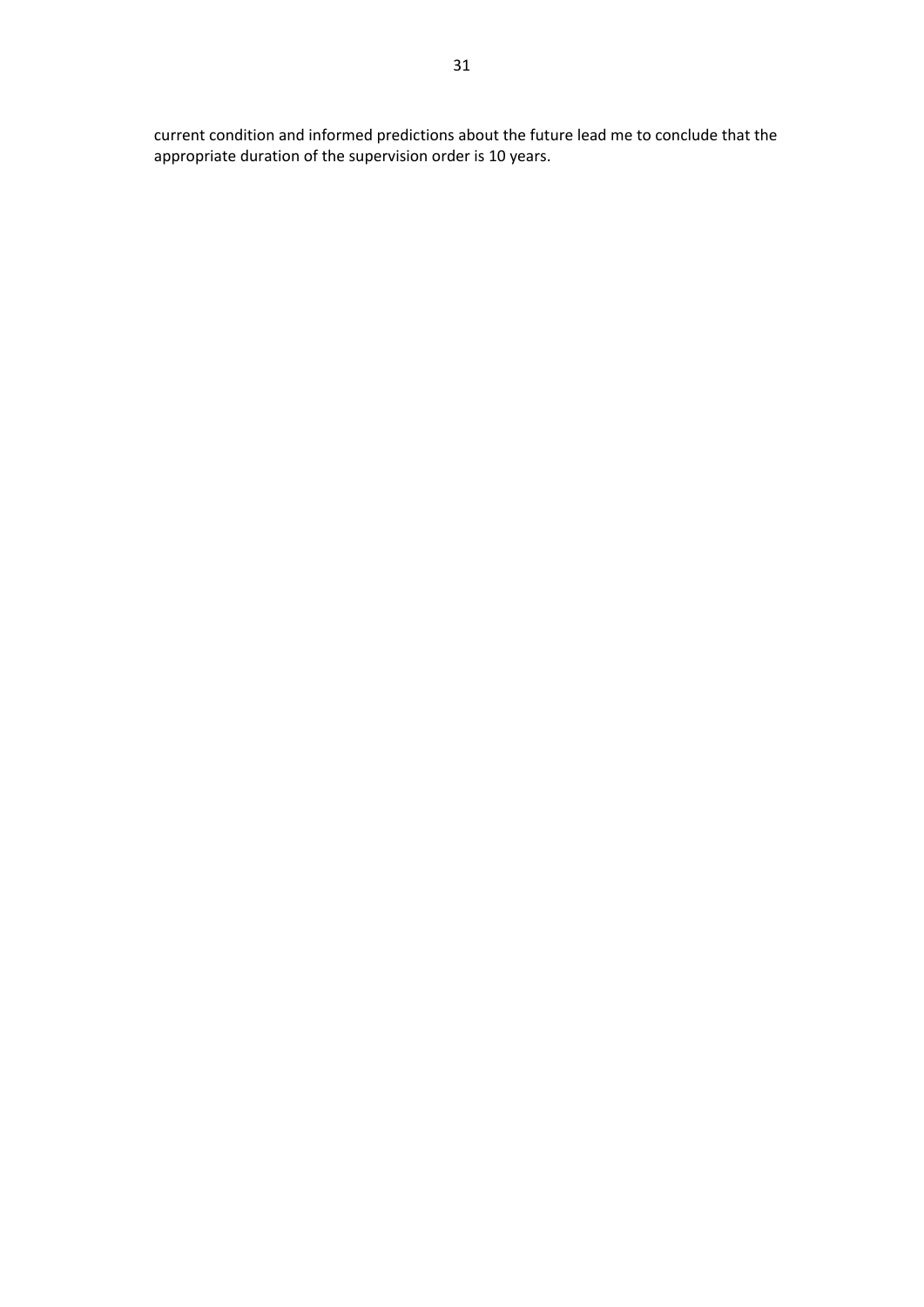current condition and informed predictions about the future lead me to conclude that the appropriate duration of the supervision order is 10 years.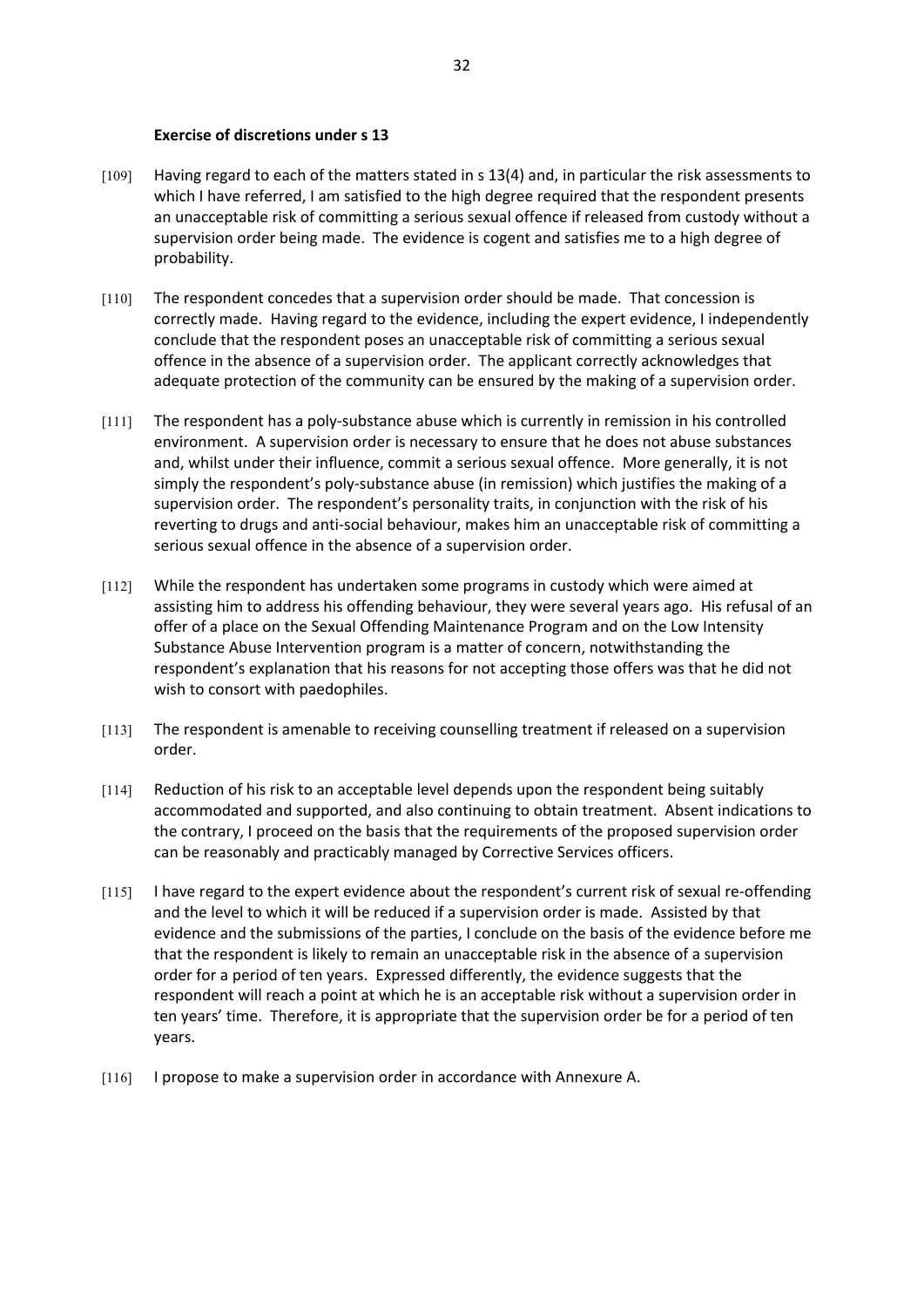#### **Exercise of discretions under s 13**

- [109] Having regard to each of the matters stated in s 13(4) and, in particular the risk assessments to which I have referred, I am satisfied to the high degree required that the respondent presents an unacceptable risk of committing a serious sexual offence if released from custody without a supervision order being made. The evidence is cogent and satisfies me to a high degree of probability.
- [110] The respondent concedes that a supervision order should be made. That concession is correctly made. Having regard to the evidence, including the expert evidence, I independently conclude that the respondent poses an unacceptable risk of committing a serious sexual offence in the absence of a supervision order. The applicant correctly acknowledges that adequate protection of the community can be ensured by the making of a supervision order.
- [111] The respondent has a poly-substance abuse which is currently in remission in his controlled environment. A supervision order is necessary to ensure that he does not abuse substances and, whilst under their influence, commit a serious sexual offence. More generally, it is not simply the respondent's poly-substance abuse (in remission) which justifies the making of a supervision order. The respondent's personality traits, in conjunction with the risk of his reverting to drugs and anti-social behaviour, makes him an unacceptable risk of committing a serious sexual offence in the absence of a supervision order.
- [112] While the respondent has undertaken some programs in custody which were aimed at assisting him to address his offending behaviour, they were several years ago. His refusal of an offer of a place on the Sexual Offending Maintenance Program and on the Low Intensity Substance Abuse Intervention program is a matter of concern, notwithstanding the respondent's explanation that his reasons for not accepting those offers was that he did not wish to consort with paedophiles.
- [113] The respondent is amenable to receiving counselling treatment if released on a supervision order.
- [114] Reduction of his risk to an acceptable level depends upon the respondent being suitably accommodated and supported, and also continuing to obtain treatment. Absent indications to the contrary, I proceed on the basis that the requirements of the proposed supervision order can be reasonably and practicably managed by Corrective Services officers.
- [115] I have regard to the expert evidence about the respondent's current risk of sexual re-offending and the level to which it will be reduced if a supervision order is made. Assisted by that evidence and the submissions of the parties, I conclude on the basis of the evidence before me that the respondent is likely to remain an unacceptable risk in the absence of a supervision order for a period of ten years. Expressed differently, the evidence suggests that the respondent will reach a point at which he is an acceptable risk without a supervision order in ten years' time. Therefore, it is appropriate that the supervision order be for a period of ten years.
- [116] I propose to make a supervision order in accordance with Annexure A.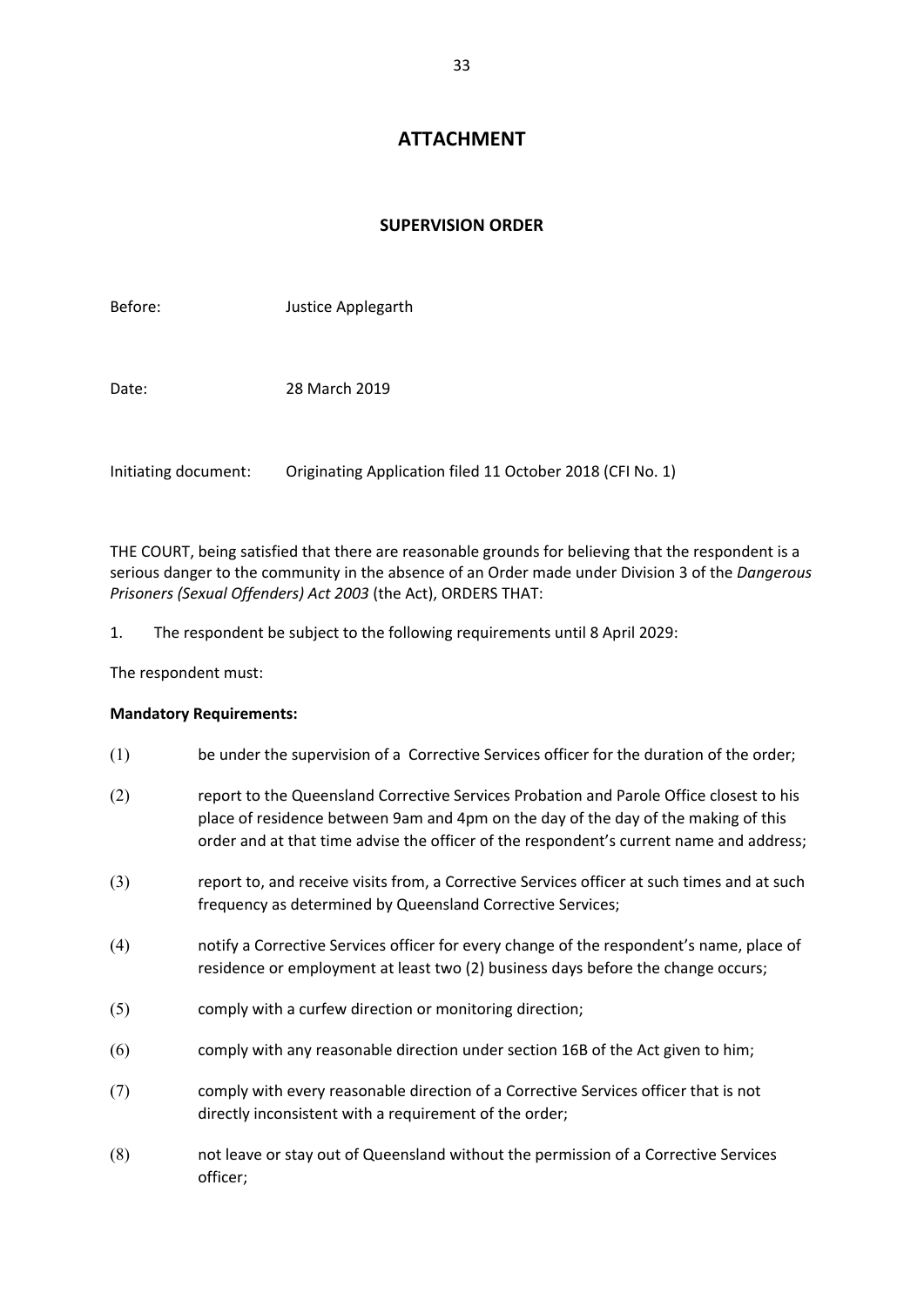# **ATTACHMENT**

# **SUPERVISION ORDER**

| Before:              | Justice Applegarth                                        |
|----------------------|-----------------------------------------------------------|
| Date:                | 28 March 2019                                             |
| Initiating document: | Originating Application filed 11 October 2018 (CFI No. 1) |

THE COURT, being satisfied that there are reasonable grounds for believing that the respondent is a serious danger to the community in the absence of an Order made under Division 3 of the *Dangerous Prisoners (Sexual Offenders) Act 2003* (the Act), ORDERS THAT:

1. The respondent be subject to the following requirements until 8 April 2029:

The respondent must:

# **Mandatory Requirements:**

- (1) be under the supervision of a Corrective Services officer for the duration of the order;
- (2) report to the Queensland Corrective Services Probation and Parole Office closest to his place of residence between 9am and 4pm on the day of the day of the making of this order and at that time advise the officer of the respondent's current name and address;
- (3) report to, and receive visits from, a Corrective Services officer at such times and at such frequency as determined by Queensland Corrective Services;
- (4) notify a Corrective Services officer for every change of the respondent's name, place of residence or employment at least two (2) business days before the change occurs;
- (5) comply with a curfew direction or monitoring direction;
- (6) comply with any reasonable direction under section 16B of the Act given to him;
- (7) comply with every reasonable direction of a Corrective Services officer that is not directly inconsistent with a requirement of the order;
- (8) not leave or stay out of Queensland without the permission of a Corrective Services officer;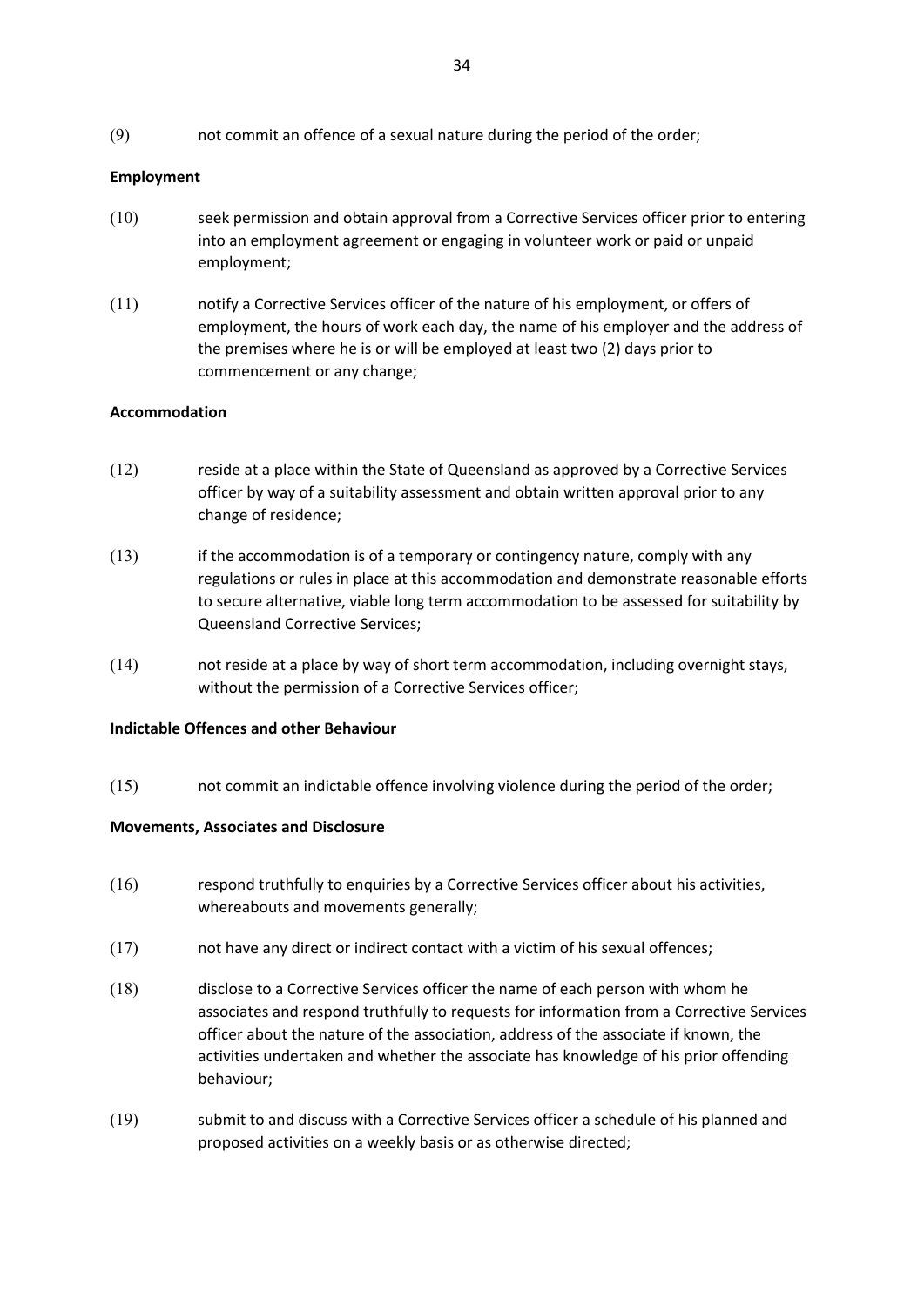(9) not commit an offence of a sexual nature during the period of the order;

# **Employment**

- (10) seek permission and obtain approval from a Corrective Services officer prior to entering into an employment agreement or engaging in volunteer work or paid or unpaid employment;
- (11) notify a Corrective Services officer of the nature of his employment, or offers of employment, the hours of work each day, the name of his employer and the address of the premises where he is or will be employed at least two (2) days prior to commencement or any change;

# **Accommodation**

- (12) reside at a place within the State of Queensland as approved by a Corrective Services officer by way of a suitability assessment and obtain written approval prior to any change of residence;
- $(13)$  if the accommodation is of a temporary or contingency nature, comply with any regulations or rules in place at this accommodation and demonstrate reasonable efforts to secure alternative, viable long term accommodation to be assessed for suitability by Queensland Corrective Services;
- (14) not reside at a place by way of short term accommodation, including overnight stays, without the permission of a Corrective Services officer;

# **Indictable Offences and other Behaviour**

(15) not commit an indictable offence involving violence during the period of the order;

# **Movements, Associates and Disclosure**

- (16) respond truthfully to enquiries by a Corrective Services officer about his activities, whereabouts and movements generally;
- (17) not have any direct or indirect contact with a victim of his sexual offences;
- (18) disclose to a Corrective Services officer the name of each person with whom he associates and respond truthfully to requests for information from a Corrective Services officer about the nature of the association, address of the associate if known, the activities undertaken and whether the associate has knowledge of his prior offending behaviour;
- (19) submit to and discuss with a Corrective Services officer a schedule of his planned and proposed activities on a weekly basis or as otherwise directed;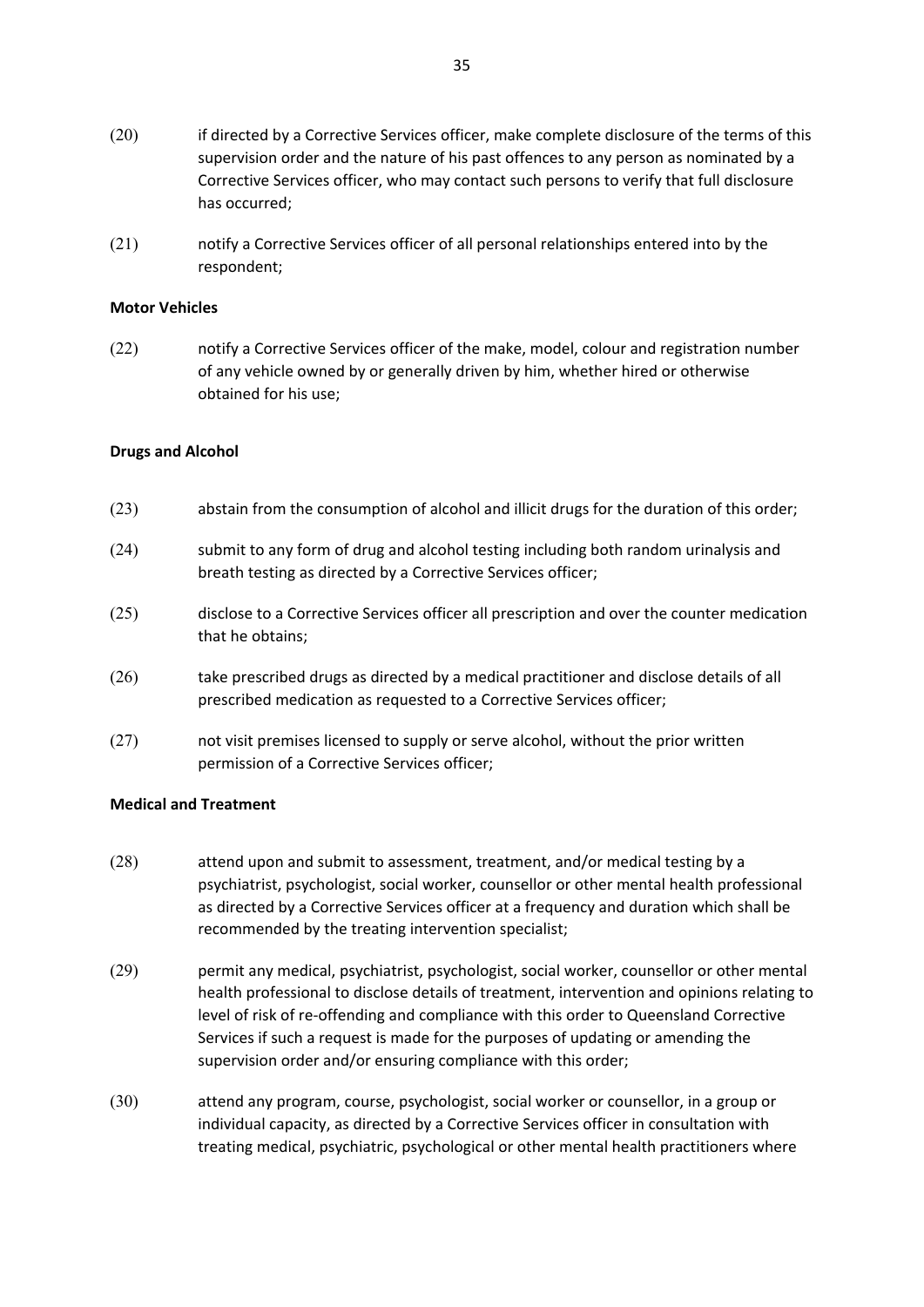- (20) if directed by a Corrective Services officer, make complete disclosure of the terms of this supervision order and the nature of his past offences to any person as nominated by a Corrective Services officer, who may contact such persons to verify that full disclosure has occurred;
- (21) notify a Corrective Services officer of all personal relationships entered into by the respondent;

#### **Motor Vehicles**

(22) notify a Corrective Services officer of the make, model, colour and registration number of any vehicle owned by or generally driven by him, whether hired or otherwise obtained for his use;

### **Drugs and Alcohol**

- (23) abstain from the consumption of alcohol and illicit drugs for the duration of this order;
- (24) submit to any form of drug and alcohol testing including both random urinalysis and breath testing as directed by a Corrective Services officer;
- (25) disclose to a Corrective Services officer all prescription and over the counter medication that he obtains;
- (26) take prescribed drugs as directed by a medical practitioner and disclose details of all prescribed medication as requested to a Corrective Services officer;
- (27) not visit premises licensed to supply or serve alcohol, without the prior written permission of a Corrective Services officer;

#### **Medical and Treatment**

- (28) attend upon and submit to assessment, treatment, and/or medical testing by a psychiatrist, psychologist, social worker, counsellor or other mental health professional as directed by a Corrective Services officer at a frequency and duration which shall be recommended by the treating intervention specialist;
- (29) permit any medical, psychiatrist, psychologist, social worker, counsellor or other mental health professional to disclose details of treatment, intervention and opinions relating to level of risk of re-offending and compliance with this order to Queensland Corrective Services if such a request is made for the purposes of updating or amending the supervision order and/or ensuring compliance with this order;
- (30) attend any program, course, psychologist, social worker or counsellor, in a group or individual capacity, as directed by a Corrective Services officer in consultation with treating medical, psychiatric, psychological or other mental health practitioners where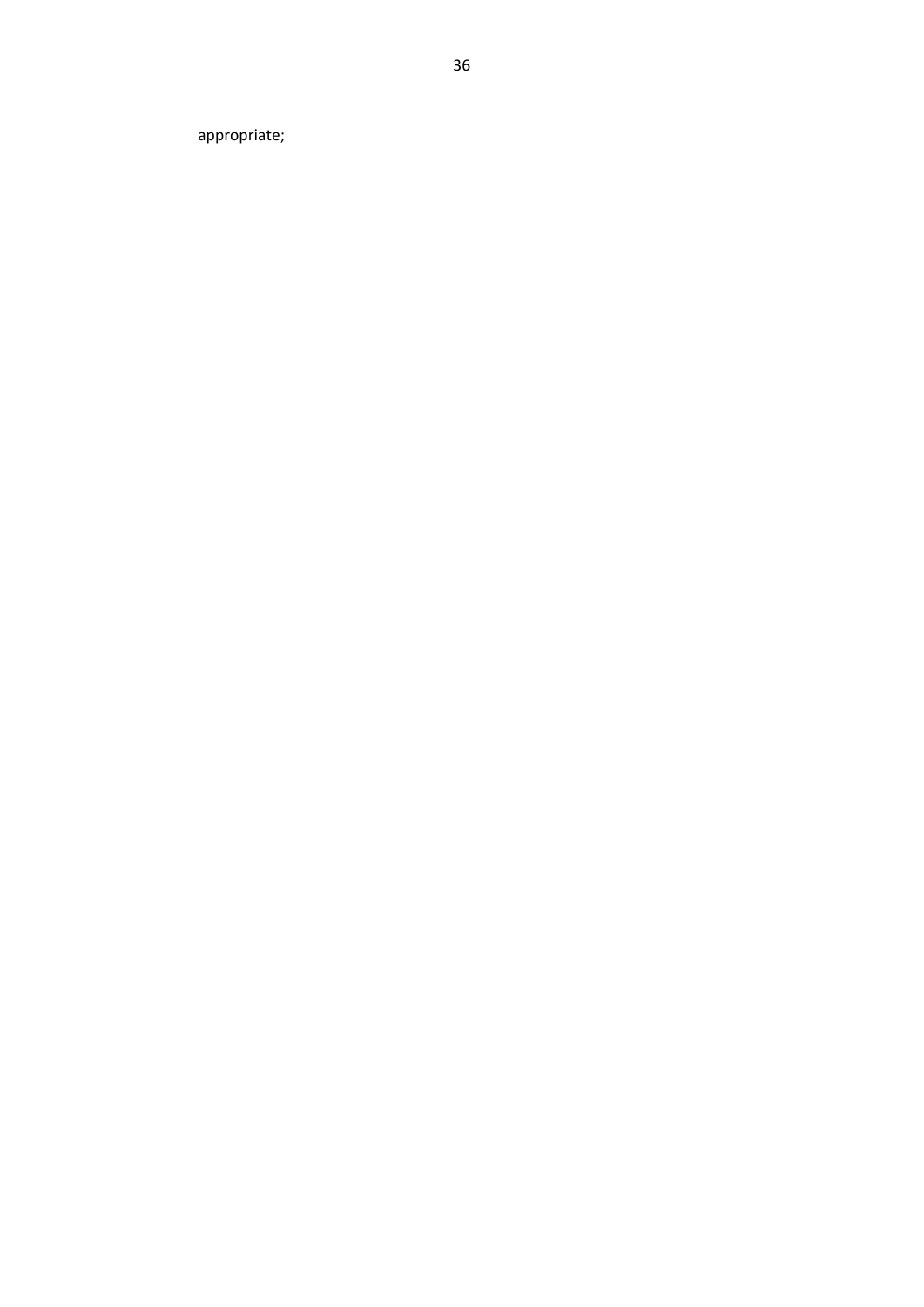appropriate;